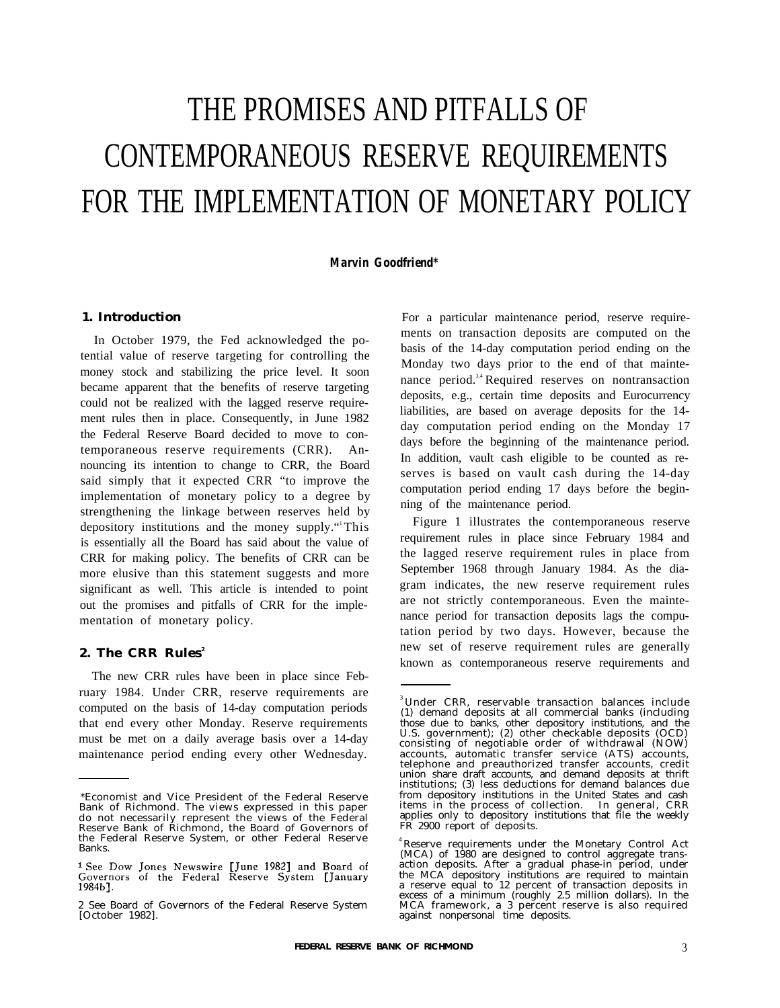# THE PROMISES AND PITFALLS OF CONTEMPORANEOUS RESERVE REQUIREMENTS FOR THE IMPLEMENTATION OF MONETARY POLICY

*Marvin Goodfriend\**

## **1. Introduction**

In October 1979, the Fed acknowledged the potential value of reserve targeting for controlling the money stock and stabilizing the price level. It soon became apparent that the benefits of reserve targeting could not be realized with the lagged reserve requirement rules then in place. Consequently, in June 1982 the Federal Reserve Board decided to move to contemporaneous reserve requirements (CRR). Announcing its intention to change to CRR, the Board said simply that it expected CRR "to improve the implementation of monetary policy to a degree by strengthening the linkage between reserves held by depository institutions and the money supply."<sup>1</sup>This is essentially all the Board has said about the value of CRR for making policy. The benefits of CRR can be more elusive than this statement suggests and more significant as well. This article is intended to point out the promises and pitfalls of CRR for the implementation of monetary policy.

## **2. The CRR Rules<sup>2</sup>**

The new CRR rules have been in place since February 1984. Under CRR, reserve requirements are computed on the basis of 14-day computation periods that end every other Monday. Reserve requirements must be met on a daily average basis over a 14-day maintenance period ending every other Wednesday. For a particular maintenance period, reserve requirements on transaction deposits are computed on the basis of the 14-day computation period ending on the Monday two days prior to the end of that maintenance period.<sup>3,4</sup> Required reserves on nontransaction deposits, e.g., certain time deposits and Eurocurrency liabilities, are based on average deposits for the 14 day computation period ending on the Monday 17 days before the beginning of the maintenance period. In addition, vault cash eligible to be counted as reserves is based on vault cash during the 14-day computation period ending 17 days before the beginning of the maintenance period.

Figure 1 illustrates the contemporaneous reserve requirement rules in place since February 1984 and the lagged reserve requirement rules in place from September 1968 through January 1984. As the diagram indicates, the new reserve requirement rules are not strictly contemporaneous. Even the maintenance period for transaction deposits lags the computation period by two days. However, because the new set of reserve requirement rules are generally known as contemporaneous reserve requirements and

<sup>\*</sup>Economist and Vice President of the Federal Reserve Bank of Richmond. The views expressed in this paper do not necessarily represent the views of the Federal Reserve Bank of Richmond, the Board of Governors of the Federal Reserve System, or other Federal Reserve Banks.

<sup>&</sup>lt;sup>1</sup> See Dow Jones Newswire [June 1982] and Board of Governors of the Federal Reserve System [January 1984b].

<sup>2</sup> See Board of Governors of the Federal Reserve System [October 1982].

 $3$ Under CRR, reservable transaction balances include (1) demand deposits at all commercial banks (including those due to banks, other depository institutions, and the U.S. government); (2) other checkable deposits (OCD) consisting of negotiable order of withdrawal (NOW) accounts, automatic transfer service (ATS) accounts, telephone and preauthorized transfer accounts, credit union share draft accounts, and demand deposits at thrift institutions; (3) less deductions for demand balances due from depository institutions in the United States and cash items in the process of collection. In general, CRR applies only to depository institutions that file the weekly FR 2900 report of deposits.

<sup>&</sup>lt;sup>4</sup> Reserve requirements under the Monetary Control Act (MCA) of 1980 are designed to control aggregate transaction deposits. After a gradual phase-in period, under the MCA depository institutions are required to maintain a reserve equal to 12 percent of transaction deposits in excess of a minimum (roughly 2.5 million dollars). In the MCA framework, a 3 percent reserve is also required against nonpersonal time deposits.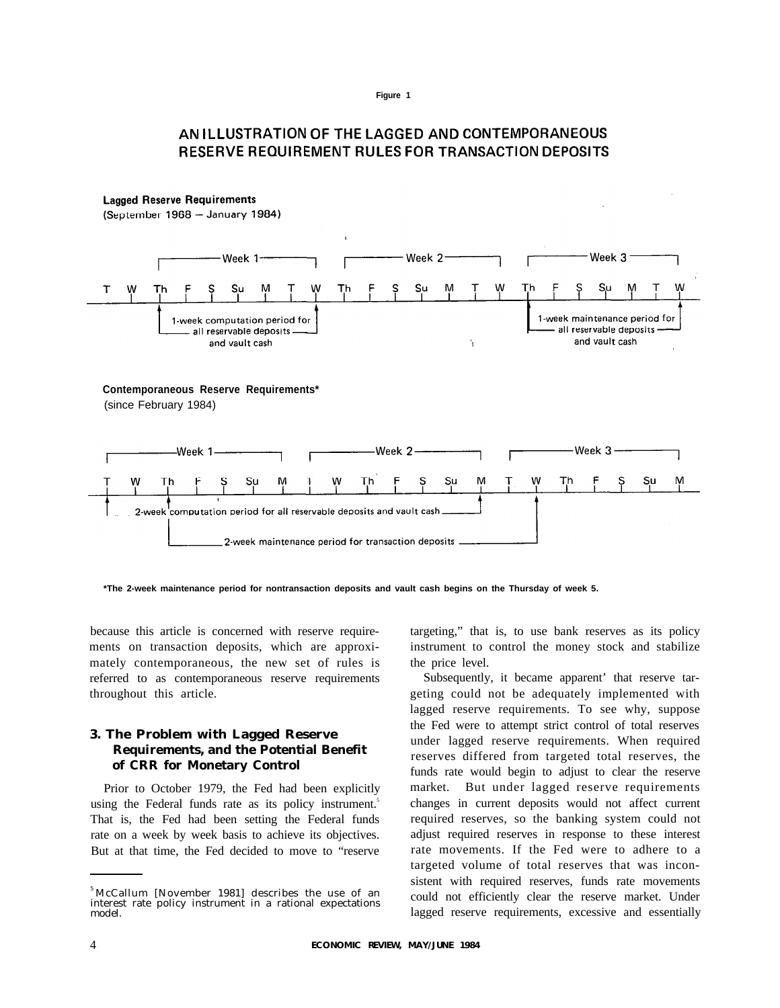# **AN ILLUSTRATION OF THE LAGGED AND CONTEMPORANEOUS RESERVE REQUIREMENT RULES FOR TRANSACTION DEPOSITS**



**\*The 2-week maintenance period for nontransaction deposits and vault cash begins on the Thursday of week 5.**

because this article is concerned with reserve requirements on transaction deposits, which are approximately contemporaneous, the new set of rules is referred to as contemporaneous reserve requirements throughout this article.

## **3. The Problem with Lagged Reserve Requirements, and the Potential Benefit of CRR for Monetary Control**

Prior to October 1979, the Fed had been explicitly using the Federal funds rate as its policy instrument.<sup>5</sup> That is, the Fed had been setting the Federal funds rate on a week by week basis to achieve its objectives. But at that time, the Fed decided to move to "reserve

targeting," that is, to use bank reserves as its policy instrument to control the money stock and stabilize the price level.

Subsequently, it became apparent' that reserve targeting could not be adequately implemented with lagged reserve requirements. To see why, suppose the Fed were to attempt strict control of total reserves under lagged reserve requirements. When required reserves differed from targeted total reserves, the funds rate would begin to adjust to clear the reserve market. But under lagged reserve requirements changes in current deposits would not affect current required reserves, so the banking system could not adjust required reserves in response to these interest rate movements. If the Fed were to adhere to a targeted volume of total reserves that was inconsistent with required reserves, funds rate movements could not efficiently clear the reserve market. Under lagged reserve requirements, excessive and essentially

<sup>5</sup>McCallum [November 1981] describes the use of an interest rate policy instrument in a rational expectations model.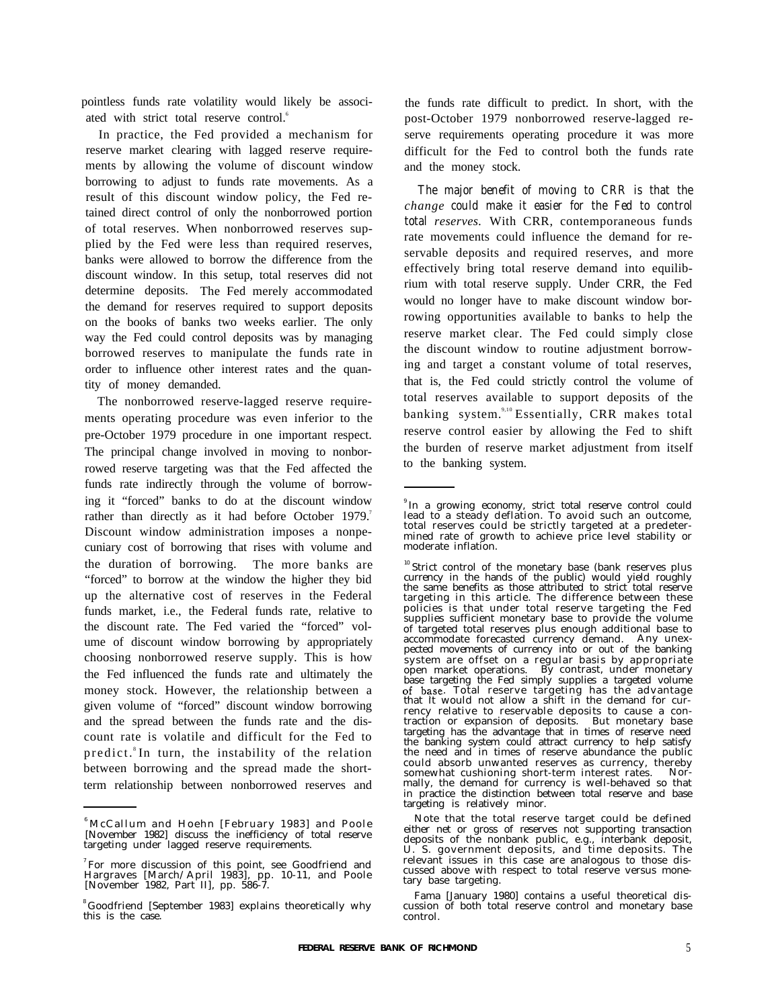pointless funds rate volatility would likely be associated with strict total reserve control.<sup>6</sup>

In practice, the Fed provided a mechanism for reserve market clearing with lagged reserve requirements by allowing the volume of discount window borrowing to adjust to funds rate movements. As a result of this discount window policy, the Fed retained direct control of only the nonborrowed portion of total reserves. When nonborrowed reserves supplied by the Fed were less than required reserves, banks were allowed to borrow the difference from the discount window. In this setup, total reserves did not determine deposits. The Fed merely accommodated the demand for reserves required to support deposits on the books of banks two weeks earlier. The only way the Fed could control deposits was by managing borrowed reserves to manipulate the funds rate in order to influence other interest rates and the quantity of money demanded.

The nonborrowed reserve-lagged reserve requirements operating procedure was even inferior to the pre-October 1979 procedure in one important respect. The principal change involved in moving to nonborrowed reserve targeting was that the Fed affected the funds rate indirectly through the volume of borrowing it "forced" banks to do at the discount window rather than directly as it had before October 1979.<sup>7</sup> Discount window administration imposes a nonpecuniary cost of borrowing that rises with volume and the duration of borrowing. The more banks are "forced" to borrow at the window the higher they bid up the alternative cost of reserves in the Federal funds market, i.e., the Federal funds rate, relative to the discount rate. The Fed varied the "forced" volume of discount window borrowing by appropriately choosing nonborrowed reserve supply. This is how the Fed influenced the funds rate and ultimately the money stock. However, the relationship between a given volume of "forced" discount window borrowing and the spread between the funds rate and the discount rate is volatile and difficult for the Fed to predict.<sup>8</sup>In turn, the instability of the relation between borrowing and the spread made the shortterm relationship between nonborrowed reserves and

the funds rate difficult to predict. In short, with the post-October 1979 nonborrowed reserve-lagged reserve requirements operating procedure it was more difficult for the Fed to control both the funds rate and the money stock.

*The major benefit of moving to CRR is that the change could make it easier for the Fed to control total reserves.* With CRR, contemporaneous funds rate movements could influence the demand for reservable deposits and required reserves, and more effectively bring total reserve demand into equilibrium with total reserve supply. Under CRR, the Fed would no longer have to make discount window borrowing opportunities available to banks to help the reserve market clear. The Fed could simply close the discount window to routine adjustment borrowing and target a constant volume of total reserves, that is, the Fed could strictly control the volume of total reserves available to support deposits of the banking system.<sup>9,10</sup> Essentially, CRR makes total reserve control easier by allowing the Fed to shift the burden of reserve market adjustment from itself to the banking system.

<sup>6</sup>McCallum and Hoehn [February 1983] and Poole [November 1982] discuss the inefficiency of total reserve targeting under lagged reserve requirements.

 $7$  For more discussion of this point, see Goodfriend and Hargraves [March/April 1983], pp. 10-11, and Poole [November 1982, Part II], pp. 586-7.

<sup>8</sup>Goodfriend [September 1983] explains theoretically why this is the case.

In a growing economy, strict total reserve control could lead to a steady deflation. To avoid such an outcome, total reserves could be strictly targeted at a predetermined rate of growth to achieve price level stability or moderate inflation.

<sup>&</sup>lt;sup>10</sup> Strict control of the monetary base (bank reserves plus currency in the hands of the public) would yield roughly the same benefits as those attributed to strict total reserve targeting in this article. The difference between these policies is that under total reserve targeting the Fed supplies sufficient monetary base to provide the volume of targeted total reserves plus enough additional base to accommodate forecasted currency demand. Any unexpected movements of currency into or out of the banking system are offset on a regular basis by appropriate open market operations. By contrast, under monetary base targeting the Fed simply supplies a targeted volume of base. Total reserve targeting has the advantage that it would not allow a shift in the demand for currency relative to reservable deposits to cause a contraction or expansion of deposits. But monetary base targeting has the advantage that in times of reserve need the banking system could attract currency to help satisfy the need and in times of reserve abundance the public could absorb unwanted reserves as currency, thereby somewhat cushioning short-term interest rates. Normally, the demand for currency is well-behaved so that in practice the distinction between total reserve and base targeting is relatively minor.

Note that the total reserve target could be defined either net or gross of reserves not supporting transaction deposits of the nonbank public, e.g., interbank deposit, U. S. government deposits, and time deposits. The relevant issues in this case are analogous to those discussed above with respect to total reserve versus monetary base targeting.

Fama [January 1980] contains a useful theoretical discussion of both total reserve control and monetary base control.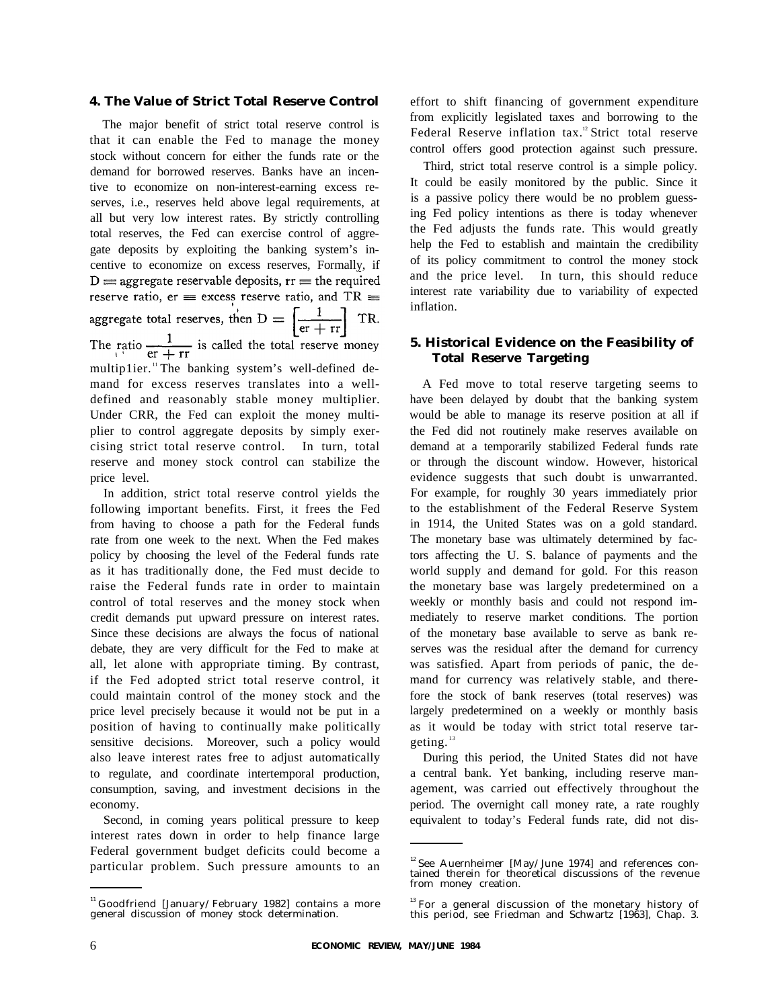### **4. The Value of Strict Total Reserve Control**

The major benefit of strict total reserve control is that it can enable the Fed to manage the money stock without concern for either the funds rate or the demand for borrowed reserves. Banks have an incentive to economize on non-interest-earning excess reserves, i.e., reserves held above legal requirements, at all but very low interest rates. By strictly controlling total reserves, the Fed can exercise control of aggregate deposits by exploiting the banking system's incentive to economize on excess reserves, Formally, if  $D \equiv$  aggregate reservable deposits,  $rr \equiv$  the required reserve ratio, er = excess reserve ratio, and TR = aggregate total reserves, then  $D = \left[\frac{1}{er + rr}\right] TR$ .<br>The ratio  $\frac{1}{er + rr}$  is called the total reserve money multip1ier.<sup>11</sup>The banking system's well-defined demand for excess reserves translates into a welldefined and reasonably stable money multiplier. Under CRR, the Fed can exploit the money multiplier to control aggregate deposits by simply exercising strict total reserve control. In turn, total reserve and money stock control can stabilize the price level.

In addition, strict total reserve control yields the following important benefits. First, it frees the Fed from having to choose a path for the Federal funds rate from one week to the next. When the Fed makes policy by choosing the level of the Federal funds rate as it has traditionally done, the Fed must decide to raise the Federal funds rate in order to maintain control of total reserves and the money stock when credit demands put upward pressure on interest rates. Since these decisions are always the focus of national debate, they are very difficult for the Fed to make at all, let alone with appropriate timing. By contrast, if the Fed adopted strict total reserve control, it could maintain control of the money stock and the price level precisely because it would not be put in a position of having to continually make politically sensitive decisions. Moreover, such a policy would also leave interest rates free to adjust automatically to regulate, and coordinate intertemporal production, consumption, saving, and investment decisions in the economy.

Second, in coming years political pressure to keep interest rates down in order to help finance large Federal government budget deficits could become a particular problem. Such pressure amounts to an effort to shift financing of government expenditure from explicitly legislated taxes and borrowing to the Federal Reserve inflation tax.<sup>12</sup> Strict total reserve control offers good protection against such pressure.

Third, strict total reserve control is a simple policy. It could be easily monitored by the public. Since it is a passive policy there would be no problem guessing Fed policy intentions as there is today whenever the Fed adjusts the funds rate. This would greatly help the Fed to establish and maintain the credibility of its policy commitment to control the money stock and the price level. In turn, this should reduce interest rate variability due to variability of expected inflation.

## **5. Historical Evidence on the Feasibility of Total Reserve Targeting**

A Fed move to total reserve targeting seems to have been delayed by doubt that the banking system would be able to manage its reserve position at all if the Fed did not routinely make reserves available on demand at a temporarily stabilized Federal funds rate or through the discount window. However, historical evidence suggests that such doubt is unwarranted. For example, for roughly 30 years immediately prior to the establishment of the Federal Reserve System in 1914, the United States was on a gold standard. The monetary base was ultimately determined by factors affecting the U. S. balance of payments and the world supply and demand for gold. For this reason the monetary base was largely predetermined on a weekly or monthly basis and could not respond immediately to reserve market conditions. The portion of the monetary base available to serve as bank reserves was the residual after the demand for currency was satisfied. Apart from periods of panic, the demand for currency was relatively stable, and therefore the stock of bank reserves (total reserves) was largely predetermined on a weekly or monthly basis as it would be today with strict total reserve targeting.<sup>13</sup>

During this period, the United States did not have a central bank. Yet banking, including reserve management, was carried out effectively throughout the period. The overnight call money rate, a rate roughly equivalent to today's Federal funds rate, did not dis-

<sup>&</sup>lt;sup>11</sup> Goodfriend [January/February 1982] contains a more general discussion of money stock determination.

 $12$  See Auernheimer [May/June 1974] and references contained therein for theoretical discussions of the revenue from money creation.

 $13$  For a general discussion of the monetary history of this period, see Friedman and Schwartz [1963], Chap. 3.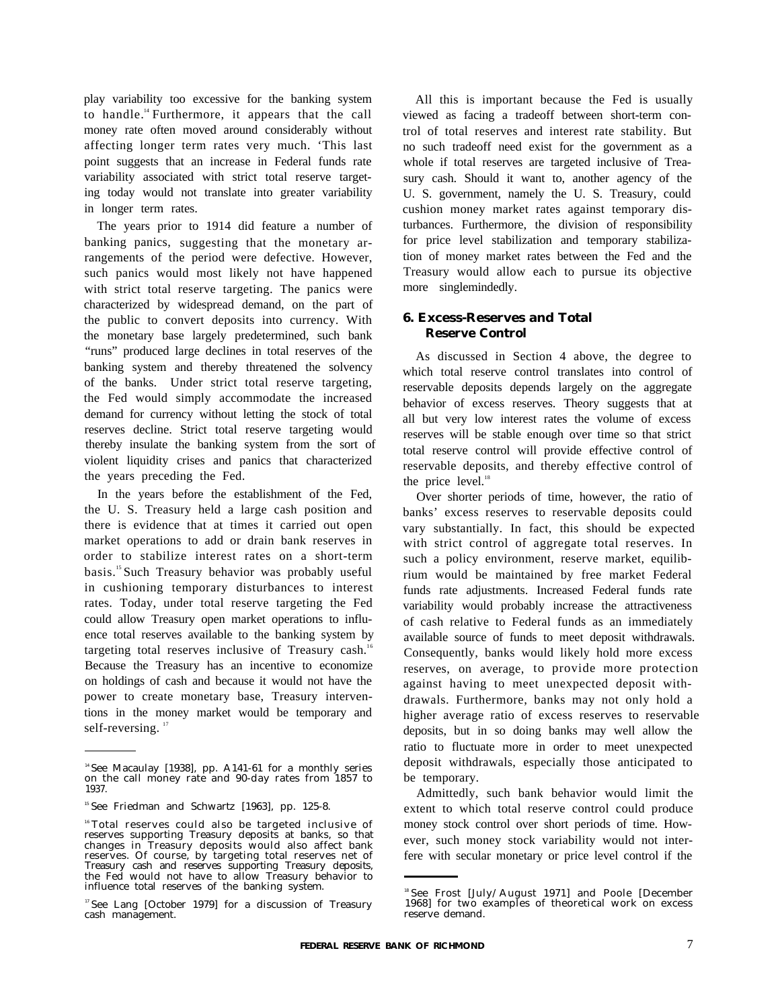play variability too excessive for the banking system to handle.<sup>14</sup> Furthermore, it appears that the call money rate often moved around considerably without affecting longer term rates very much. 'This last point suggests that an increase in Federal funds rate variability associated with strict total reserve targeting today would not translate into greater variability in longer term rates.

The years prior to 1914 did feature a number of banking panics, suggesting that the monetary arrangements of the period were defective. However, such panics would most likely not have happened with strict total reserve targeting. The panics were characterized by widespread demand, on the part of the public to convert deposits into currency. With the monetary base largely predetermined, such bank "runs" produced large declines in total reserves of the banking system and thereby threatened the solvency of the banks. Under strict total reserve targeting, the Fed would simply accommodate the increased demand for currency without letting the stock of total reserves decline. Strict total reserve targeting would thereby insulate the banking system from the sort of violent liquidity crises and panics that characterized the years preceding the Fed.

In the years before the establishment of the Fed, the U. S. Treasury held a large cash position and there is evidence that at times it carried out open market operations to add or drain bank reserves in order to stabilize interest rates on a short-term basis.<sup>15</sup> Such Treasury behavior was probably useful in cushioning temporary disturbances to interest rates. Today, under total reserve targeting the Fed could allow Treasury open market operations to influence total reserves available to the banking system by targeting total reserves inclusive of Treasury cash.<sup>16</sup> Because the Treasury has an incentive to economize on holdings of cash and because it would not have the power to create monetary base, Treasury interventions in the money market would be temporary and self-reversing.<sup>17</sup>

All this is important because the Fed is usually viewed as facing a tradeoff between short-term control of total reserves and interest rate stability. But no such tradeoff need exist for the government as a whole if total reserves are targeted inclusive of Treasury cash. Should it want to, another agency of the U. S. government, namely the U. S. Treasury, could cushion money market rates against temporary disturbances. Furthermore, the division of responsibility for price level stabilization and temporary stabilization of money market rates between the Fed and the Treasury would allow each to pursue its objective more singlemindedly.

## **6. Excess-Reserves and Total Reserve Control**

As discussed in Section 4 above, the degree to which total reserve control translates into control of reservable deposits depends largely on the aggregate behavior of excess reserves. Theory suggests that at all but very low interest rates the volume of excess reserves will be stable enough over time so that strict total reserve control will provide effective control of reservable deposits, and thereby effective control of the price level.<sup>18</sup>

Over shorter periods of time, however, the ratio of banks' excess reserves to reservable deposits could vary substantially. In fact, this should be expected with strict control of aggregate total reserves. In such a policy environment, reserve market, equilibrium would be maintained by free market Federal funds rate adjustments. Increased Federal funds rate variability would probably increase the attractiveness of cash relative to Federal funds as an immediately available source of funds to meet deposit withdrawals. Consequently, banks would likely hold more excess reserves, on average, to provide more protection against having to meet unexpected deposit withdrawals. Furthermore, banks may not only hold a higher average ratio of excess reserves to reservable deposits, but in so doing banks may well allow the ratio to fluctuate more in order to meet unexpected deposit withdrawals, especially those anticipated to be temporary.

Admittedly, such bank behavior would limit the extent to which total reserve control could produce money stock control over short periods of time. However, such money stock variability would not interfere with secular monetary or price level control if the

<sup>&</sup>lt;sup>14</sup> See Macaulay [1938], pp. A141-61 for a monthly series on the call money rate and 90-day rates from 1857 to 1937.

<sup>&</sup>lt;sup>15</sup> See Friedman and Schwartz [1963], pp. 125-8.

<sup>16</sup>Total reserves could also be targeted inclusive of reserves supporting Treasury deposits at banks, so that changes in Treasury deposits would also affect bank reserves. Of course, by targeting total reserves net of Treasury cash and reserves supporting Treasury deposits, the Fed would not have to allow Treasury behavior to influence total reserves of the banking system.

<sup>&</sup>lt;sup>17</sup> See Lang [October 1979] for a discussion of Treasury cash management.

<sup>18</sup>See Frost [July/August 1971] and Poole [December 1968] for two examples of theoretical work on excess reserve demand.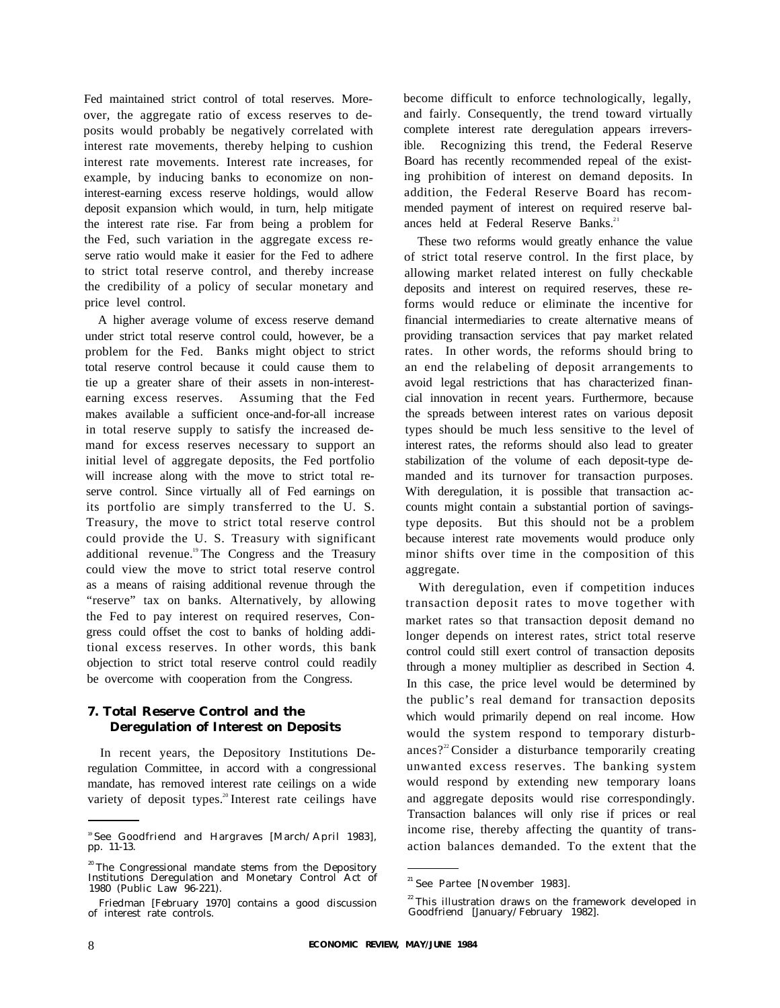Fed maintained strict control of total reserves. Moreover, the aggregate ratio of excess reserves to deposits would probably be negatively correlated with interest rate movements, thereby helping to cushion interest rate movements. Interest rate increases, for example, by inducing banks to economize on noninterest-earning excess reserve holdings, would allow deposit expansion which would, in turn, help mitigate the interest rate rise. Far from being a problem for the Fed, such variation in the aggregate excess reserve ratio would make it easier for the Fed to adhere to strict total reserve control, and thereby increase the credibility of a policy of secular monetary and price level control.

A higher average volume of excess reserve demand under strict total reserve control could, however, be a problem for the Fed. Banks might object to strict total reserve control because it could cause them to tie up a greater share of their assets in non-interestearning excess reserves. Assuming that the Fed makes available a sufficient once-and-for-all increase in total reserve supply to satisfy the increased demand for excess reserves necessary to support an initial level of aggregate deposits, the Fed portfolio will increase along with the move to strict total reserve control. Since virtually all of Fed earnings on its portfolio are simply transferred to the U. S. Treasury, the move to strict total reserve control could provide the U. S. Treasury with significant additional revenue.<sup>19</sup> The Congress and the Treasury could view the move to strict total reserve control as a means of raising additional revenue through the "reserve" tax on banks. Alternatively, by allowing the Fed to pay interest on required reserves, Congress could offset the cost to banks of holding additional excess reserves. In other words, this bank objection to strict total reserve control could readily be overcome with cooperation from the Congress.

## **7. Total Reserve Control and the Deregulation of Interest on Deposits**

In recent years, the Depository Institutions Deregulation Committee, in accord with a congressional mandate, has removed interest rate ceilings on a wide variety of deposit types.<sup>20</sup>Interest rate ceilings have become difficult to enforce technologically, legally, and fairly. Consequently, the trend toward virtually complete interest rate deregulation appears irreversible. Recognizing this trend, the Federal Reserve Board has recently recommended repeal of the existing prohibition of interest on demand deposits. In addition, the Federal Reserve Board has recommended payment of interest on required reserve balances held at Federal Reserve Banks.<sup>21</sup>

These two reforms would greatly enhance the value of strict total reserve control. In the first place, by allowing market related interest on fully checkable deposits and interest on required reserves, these reforms would reduce or eliminate the incentive for financial intermediaries to create alternative means of providing transaction services that pay market related rates. In other words, the reforms should bring to an end the relabeling of deposit arrangements to avoid legal restrictions that has characterized financial innovation in recent years. Furthermore, because the spreads between interest rates on various deposit types should be much less sensitive to the level of interest rates, the reforms should also lead to greater stabilization of the volume of each deposit-type demanded and its turnover for transaction purposes. With deregulation, it is possible that transaction accounts might contain a substantial portion of savingstype deposits. But this should not be a problem because interest rate movements would produce only minor shifts over time in the composition of this aggregate.

With deregulation, even if competition induces transaction deposit rates to move together with market rates so that transaction deposit demand no longer depends on interest rates, strict total reserve control could still exert control of transaction deposits through a money multiplier as described in Section 4. In this case, the price level would be determined by the public's real demand for transaction deposits which would primarily depend on real income. How would the system respond to temporary disturbances? $2^{\circ}$ Consider a disturbance temporarily creating unwanted excess reserves. The banking system would respond by extending new temporary loans and aggregate deposits would rise correspondingly. Transaction balances will only rise if prices or real income rise, thereby affecting the quantity of transaction balances demanded. To the extent that the

<sup>19</sup>See Goodfriend and Hargraves [March/April 1983], pp. 11-13.

<sup>&</sup>lt;sup>20</sup>The Congressional mandate stems from the Depository Institutions Deregulation and Monetary Control Act of 1980 (Public Law 96-221).

Friedman [February 1970] contains a good discussion of interest rate controls.

<sup>&</sup>lt;sup>21</sup> See Partee [November 1983].

 $22$ <sup>22</sup>This illustration draws on the framework developed in Goodfriend [January/February 1982].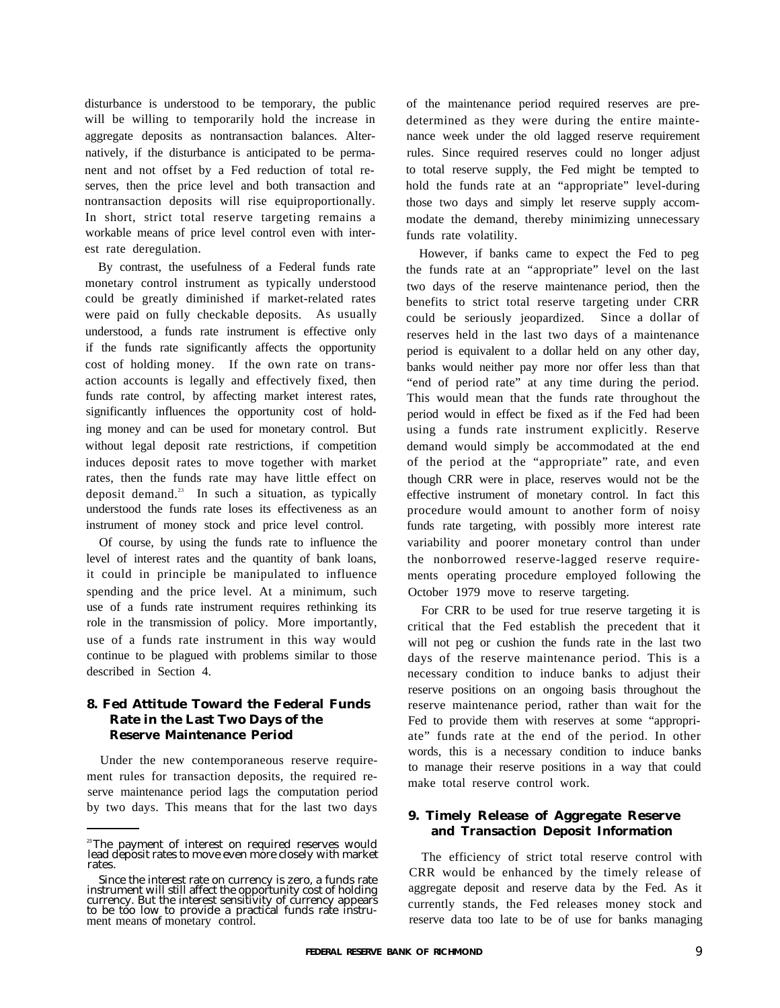disturbance is understood to be temporary, the public will be willing to temporarily hold the increase in aggregate deposits as nontransaction balances. Alternatively, if the disturbance is anticipated to be permanent and not offset by a Fed reduction of total reserves, then the price level and both transaction and nontransaction deposits will rise equiproportionally. In short, strict total reserve targeting remains a workable means of price level control even with interest rate deregulation.

By contrast, the usefulness of a Federal funds rate monetary control instrument as typically understood could be greatly diminished if market-related rates were paid on fully checkable deposits. As usually understood, a funds rate instrument is effective only if the funds rate significantly affects the opportunity cost of holding money. If the own rate on transaction accounts is legally and effectively fixed, then funds rate control, by affecting market interest rates, significantly influences the opportunity cost of holding money and can be used for monetary control. But without legal deposit rate restrictions, if competition induces deposit rates to move together with market rates, then the funds rate may have little effect on deposit demand.<sup>23</sup> In such a situation, as typically understood the funds rate loses its effectiveness as an instrument of money stock and price level control.

Of course, by using the funds rate to influence the level of interest rates and the quantity of bank loans, it could in principle be manipulated to influence spending and the price level. At a minimum, such use of a funds rate instrument requires rethinking its role in the transmission of policy. More importantly, use of a funds rate instrument in this way would continue to be plagued with problems similar to those described in Section 4.

## **8. Fed Attitude Toward the Federal Funds Rate in the Last Two Days of the Reserve Maintenance Period**

Under the new contemporaneous reserve requirement rules for transaction deposits, the required reserve maintenance period lags the computation period by two days. This means that for the last two days of the maintenance period required reserves are predetermined as they were during the entire maintenance week under the old lagged reserve requirement rules. Since required reserves could no longer adjust to total reserve supply, the Fed might be tempted to hold the funds rate at an "appropriate" level-during those two days and simply let reserve supply accommodate the demand, thereby minimizing unnecessary funds rate volatility.

However, if banks came to expect the Fed to peg the funds rate at an "appropriate" level on the last two days of the reserve maintenance period, then the benefits to strict total reserve targeting under CRR could be seriously jeopardized. Since a dollar of reserves held in the last two days of a maintenance period is equivalent to a dollar held on any other day, banks would neither pay more nor offer less than that "end of period rate" at any time during the period. This would mean that the funds rate throughout the period would in effect be fixed as if the Fed had been using a funds rate instrument explicitly. Reserve demand would simply be accommodated at the end of the period at the "appropriate" rate, and even though CRR were in place, reserves would not be the effective instrument of monetary control. In fact this procedure would amount to another form of noisy funds rate targeting, with possibly more interest rate variability and poorer monetary control than under the nonborrowed reserve-lagged reserve requirements operating procedure employed following the October 1979 move to reserve targeting.

For CRR to be used for true reserve targeting it is critical that the Fed establish the precedent that it will not peg or cushion the funds rate in the last two days of the reserve maintenance period. This is a necessary condition to induce banks to adjust their reserve positions on an ongoing basis throughout the reserve maintenance period, rather than wait for the Fed to provide them with reserves at some "appropriate" funds rate at the end of the period. In other words, this is a necessary condition to induce banks to manage their reserve positions in a way that could make total reserve control work.

## **9. Timely Release of Aggregate Reserve and Transaction Deposit Information**

The efficiency of strict total reserve control with CRR would be enhanced by the timely release of aggregate deposit and reserve data by the Fed. As it currently stands, the Fed releases money stock and reserve data too late to be of use for banks managing

<sup>&</sup>lt;sup>23</sup>The payment of interest on required reserves would lead deposit rates to move even more closely with market rates.

Since the interest rate on currency is zero, a funds rate instrument will still affect the opportunity cost of holding currency. But the interest sensitivity of currency appears to be too low to provide a practical funds rate instru-<br>ment means of monetary control.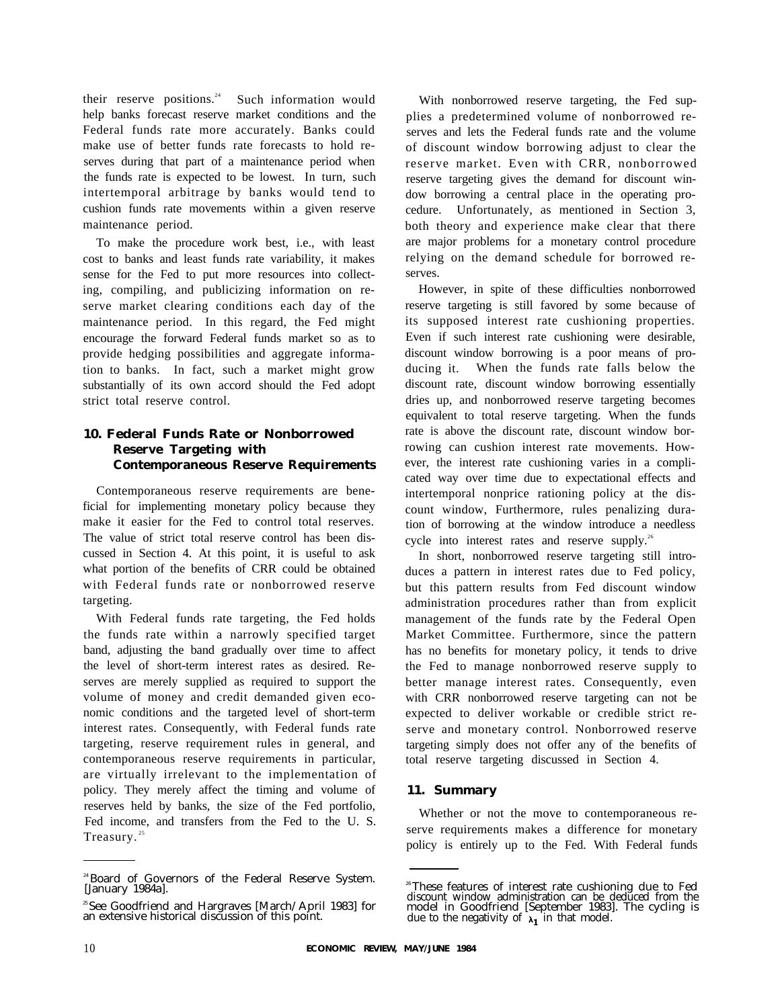their reserve positions.<sup>24</sup> Such information would help banks forecast reserve market conditions and the Federal funds rate more accurately. Banks could make use of better funds rate forecasts to hold reserves during that part of a maintenance period when the funds rate is expected to be lowest. In turn, such intertemporal arbitrage by banks would tend to cushion funds rate movements within a given reserve maintenance period.

To make the procedure work best, i.e., with least cost to banks and least funds rate variability, it makes sense for the Fed to put more resources into collecting, compiling, and publicizing information on reserve market clearing conditions each day of the maintenance period. In this regard, the Fed might encourage the forward Federal funds market so as to provide hedging possibilities and aggregate information to banks. In fact, such a market might grow substantially of its own accord should the Fed adopt strict total reserve control.

# **10. Federal Funds Rate or Nonborrowed Reserve Targeting with Contemporaneous Reserve Requirements**

Contemporaneous reserve requirements are beneficial for implementing monetary policy because they make it easier for the Fed to control total reserves. The value of strict total reserve control has been discussed in Section 4. At this point, it is useful to ask what portion of the benefits of CRR could be obtained with Federal funds rate or nonborrowed reserve targeting.

With Federal funds rate targeting, the Fed holds the funds rate within a narrowly specified target band, adjusting the band gradually over time to affect the level of short-term interest rates as desired. Reserves are merely supplied as required to support the volume of money and credit demanded given economic conditions and the targeted level of short-term interest rates. Consequently, with Federal funds rate targeting, reserve requirement rules in general, and contemporaneous reserve requirements in particular, are virtually irrelevant to the implementation of policy. They merely affect the timing and volume of reserves held by banks, the size of the Fed portfolio, Fed income, and transfers from the Fed to the U. S. Treasury.<sup>25</sup>

With nonborrowed reserve targeting, the Fed supplies a predetermined volume of nonborrowed reserves and lets the Federal funds rate and the volume of discount window borrowing adjust to clear the reserve market. Even with CRR, nonborrowed reserve targeting gives the demand for discount window borrowing a central place in the operating procedure. Unfortunately, as mentioned in Section 3, both theory and experience make clear that there are major problems for a monetary control procedure relying on the demand schedule for borrowed reserves.

However, in spite of these difficulties nonborrowed reserve targeting is still favored by some because of its supposed interest rate cushioning properties. Even if such interest rate cushioning were desirable, discount window borrowing is a poor means of producing it. When the funds rate falls below the discount rate, discount window borrowing essentially dries up, and nonborrowed reserve targeting becomes equivalent to total reserve targeting. When the funds rate is above the discount rate, discount window borrowing can cushion interest rate movements. However, the interest rate cushioning varies in a complicated way over time due to expectational effects and intertemporal nonprice rationing policy at the discount window, Furthermore, rules penalizing duration of borrowing at the window introduce a needless cycle into interest rates and reserve supply.<sup>26</sup>

In short, nonborrowed reserve targeting still introduces a pattern in interest rates due to Fed policy, but this pattern results from Fed discount window administration procedures rather than from explicit management of the funds rate by the Federal Open Market Committee. Furthermore, since the pattern has no benefits for monetary policy, it tends to drive the Fed to manage nonborrowed reserve supply to better manage interest rates. Consequently, even with CRR nonborrowed reserve targeting can not be expected to deliver workable or credible strict reserve and monetary control. Nonborrowed reserve targeting simply does not offer any of the benefits of total reserve targeting discussed in Section 4.

# **11. Summary**

Whether or not the move to contemporaneous reserve requirements makes a difference for monetary policy is entirely up to the Fed. With Federal funds

<sup>24</sup>Board of Governors of the Federal Reserve System. [January 1984a].

<sup>25</sup>See Goodfriend and Hargraves [March/April 1983] for an extensive historical discussion of this point.

<sup>&</sup>lt;sup>26</sup>These features of interest rate cushioning due to Fed discount window administration can be deduced from the model in Goodfriend [September 1983]. The cycling is due to the negativity of  $\lambda_1$  in that model.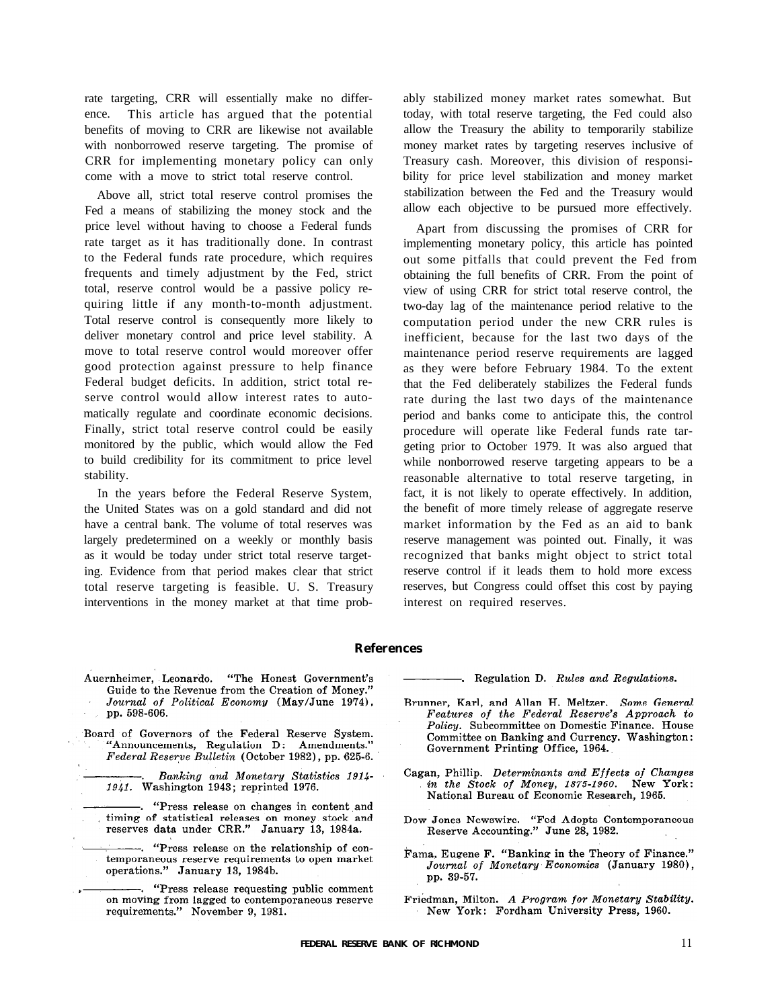rate targeting, CRR will essentially make no difference. This article has argued that the potential benefits of moving to CRR are likewise not available with nonborrowed reserve targeting. The promise of CRR for implementing monetary policy can only come with a move to strict total reserve control.

Above all, strict total reserve control promises the Fed a means of stabilizing the money stock and the price level without having to choose a Federal funds rate target as it has traditionally done. In contrast to the Federal funds rate procedure, which requires frequents and timely adjustment by the Fed, strict total, reserve control would be a passive policy requiring little if any month-to-month adjustment. Total reserve control is consequently more likely to deliver monetary control and price level stability. A move to total reserve control would moreover offer good protection against pressure to help finance Federal budget deficits. In addition, strict total reserve control would allow interest rates to automatically regulate and coordinate economic decisions. Finally, strict total reserve control could be easily monitored by the public, which would allow the Fed to build credibility for its commitment to price level stability.

In the years before the Federal Reserve System, the United States was on a gold standard and did not have a central bank. The volume of total reserves was largely predetermined on a weekly or monthly basis as it would be today under strict total reserve targeting. Evidence from that period makes clear that strict total reserve targeting is feasible. U. S. Treasury interventions in the money market at that time probably stabilized money market rates somewhat. But today, with total reserve targeting, the Fed could also allow the Treasury the ability to temporarily stabilize money market rates by targeting reserves inclusive of Treasury cash. Moreover, this division of responsibility for price level stabilization and money market stabilization between the Fed and the Treasury would allow each objective to be pursued more effectively.

Apart from discussing the promises of CRR for implementing monetary policy, this article has pointed out some pitfalls that could prevent the Fed from obtaining the full benefits of CRR. From the point of view of using CRR for strict total reserve control, the two-day lag of the maintenance period relative to the computation period under the new CRR rules is inefficient, because for the last two days of the maintenance period reserve requirements are lagged as they were before February 1984. To the extent that the Fed deliberately stabilizes the Federal funds rate during the last two days of the maintenance period and banks come to anticipate this, the control procedure will operate like Federal funds rate targeting prior to October 1979. It was also argued that while nonborrowed reserve targeting appears to be a reasonable alternative to total reserve targeting, in fact, it is not likely to operate effectively. In addition, the benefit of more timely release of aggregate reserve market information by the Fed as an aid to bank reserve management was pointed out. Finally, it was recognized that banks might object to strict total reserve control if it leads them to hold more excess reserves, but Congress could offset this cost by paying interest on required reserves.

### **References**

- Auernheimer, Leonardo. "The Honest Government's Guide to the Revenue from the Creation of Money." Journal of Political Economy (May/June 1974), pp. 598-606.
- Board of Governors of the Federal Reserve System. "Announcements, Regulation D: Amendments." Federal Reserve Bulletin (October 1982), pp. 625-6.
	- Banking and Monetary Statistics 1914-1941. Washington 1943; reprinted 1976.
	- -. "Press release on changes in content and timing of statistical releases on money stock and<br>reserves data under CRR." January 13, 1984a.
	- -. "Press release on the relationship of contemporaneous reserve requirements to open market operations." January 13, 1984b.
	- . "Press release requesting public comment on moving from lagged to contemporaneous reserve requirements." November 9, 1981.

. Regulation D. Rules and Regulations.

- Brunner, Karl, and Allan H. Meltzer. Some General Features of the Federal Reserve's Approach to Policy. Subcommittee on Domestic Finance. House Committee on Banking and Currency. Washington: Government Printing Office, 1964.
- Cagan, Phillip. Determinants and Effects of Changes in the Stock of Money, 1875-1960. New York: National Bureau of Economic Research, 1965.
- Dow Jones Newswire. "Fed Adopts Contemporaneous Reserve Accounting." June 28, 1982.
- Fama, Eugene F. "Banking in the Theory of Finance." Journal of Monetary Economics (January 1980), pp. 39-57.
- Friedman, Milton. A Program for Monetary Stability. New York: Fordham University Press, 1960.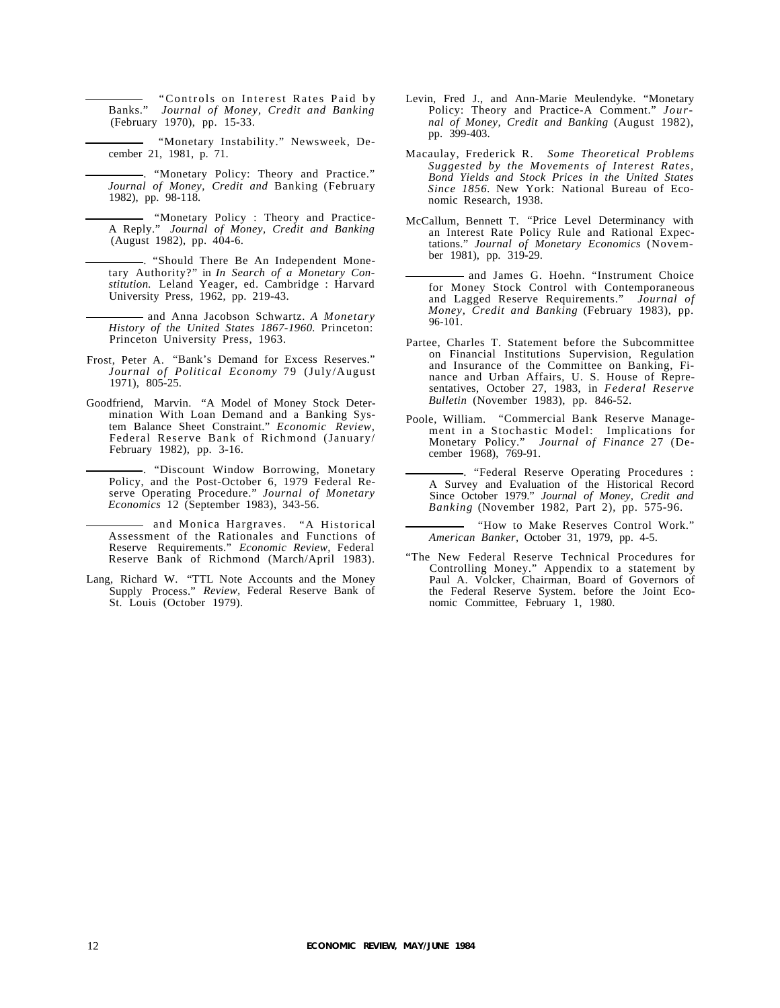Banks." *Journal of Money, Credit and Banking* "Controls on Interest Rates Paid by (February 1970), pp. 15-33.

"Monetary Instability." Newsweek, December 21, 1981, p. 71.

. "Monetary Policy: Theory and Practice." *Journal of Money, Credit and* Banking (February 1982), pp. 98-118.

"Monetary Policy : Theory and Practice-A Reply." *Journal of Money, Credit and Banking* (August 1982), pp. 404-6.

. "Should There Be An Independent Monetary Authority?" in *In Search of a Monetary Constitution.* Leland Yeager, ed. Cambridge : Harvard University Press, 1962, pp. 219-43.

and Anna Jacobson Schwartz. *A Monetary History of the United States 1867-1960.* Princeton: Princeton University Press, 1963.

- Frost, Peter A. "Bank's Demand for Excess Reserves." *Journal of Political Economy* 79 (July/August 1971), 805-25.
- Goodfriend, Marvin. "A Model of Money Stock Determination With Loan Demand and a Banking System Balance Sheet Constraint." *Economic Review,* Federal Reserve Bank of Richmond (January/ February 1982), pp. 3-16.

. "Discount Window Borrowing, Monetary Policy, and the Post-October 6, 1979 Federal Reserve Operating Procedure." *Journal of Monetary Economics* 12 (September 1983), 343-56.

and Monica Hargraves. "A Historical Assessment of the Rationales and Functions of Reserve Requirements." *Economic Review,* Federal Reserve Bank of Richmond (March/April 1983).

Lang, Richard W. "TTL Note Accounts and the Money Supply Process." *Review,* Federal Reserve Bank of St. Louis (October 1979).

- Levin, Fred J., and Ann-Marie Meulendyke. "Monetary Policy: Theory and Practice-A Comment." *Journal of Money, Credit and Banking* (August 1982), pp. 399-403.
- Macaulay, Frederick R. *Some Theoretical Problems Suggested by the Movements of Interest Rates, Bond Yields and Stock Prices in the United States Since 1856.* New York: National Bureau of Economic Research, 1938.
- McCallum, Bennett T. "Price Level Determinancy with an Interest Rate Policy Rule and Rational Expectations." *Journal of Monetary Economics* (November 1981), pp. 319-29.
- and James G. Hoehn. "Instrument Choice for Money Stock Control with Contemporaneous and Lagged Reserve Requirements." *Journal of Money, Credit and Banking* (February 1983), pp. 96-101.
- Partee, Charles T. Statement before the Subcommittee on Financial Institutions Supervision, Regulation and Insurance of the Committee on Banking, Finance and Urban Affairs, U. S. House of Representatives, October 27, 1983, in *Federal Reserve Bulletin* (November 1983), pp. 846-52.
- Poole, William. "Commercial Bank Reserve Management in a Stochastic Model: Implications for Monetary Policy." *Journal of Finance* 27 (December 1968), 769-91.
	- . "Federal Reserve Operating Procedures : A Survey and Evaluation of the Historical Record Since October 1979." *Journal of Money, Credit and Banking* (November 1982, Part 2), pp. 575-96.

"How to Make Reserves Control Work." *American Banker,* October 31, 1979, pp. 4-5.

"The New Federal Reserve Technical Procedures for Controlling Money." Appendix to a statement by Paul A. Volcker, Chairman, Board of Governors of the Federal Reserve System. before the Joint Economic Committee, February 1, 1980.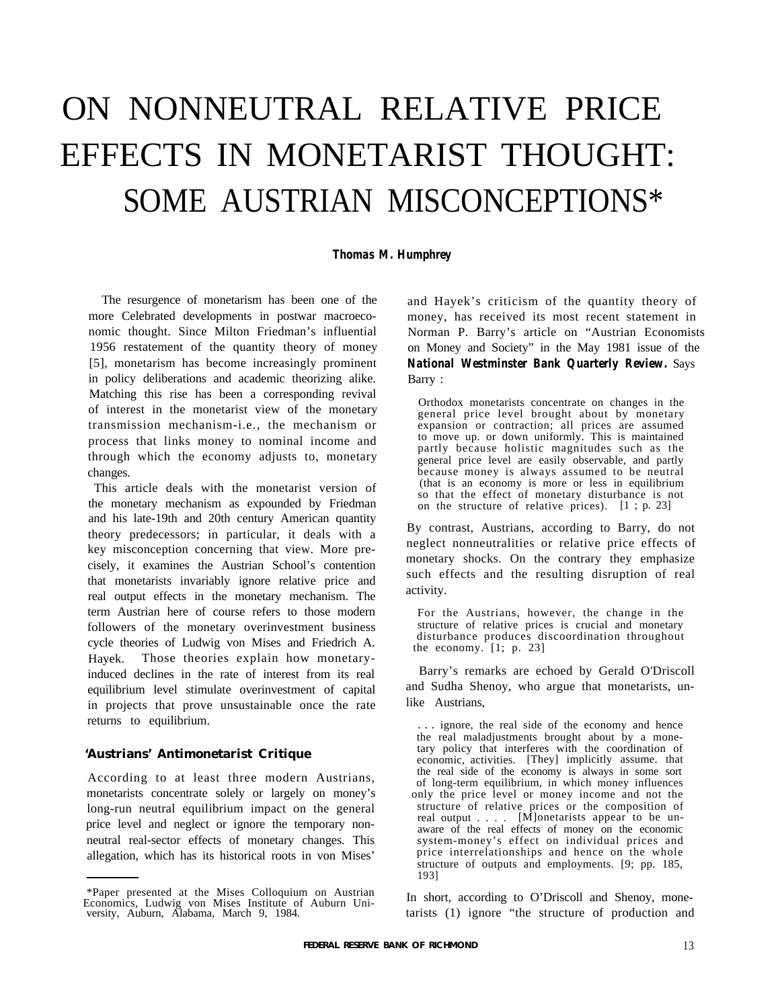# ON NONNEUTRAL RELATIVE PRICE EFFECTS IN MONETARIST THOUGHT: SOME AUSTRIAN MISCONCEPTIONS\*

#### *Thomas M. Humphrey*

The resurgence of monetarism has been one of the more Celebrated developments in postwar macroeconomic thought. Since Milton Friedman's influential 1956 restatement of the quantity theory of money [5], monetarism has become increasingly prominent in policy deliberations and academic theorizing alike. Matching this rise has been a corresponding revival of interest in the monetarist view of the monetary transmission mechanism-i.e., the mechanism or process that links money to nominal income and through which the economy adjusts to, monetary changes.

This article deals with the monetarist version of the monetary mechanism as expounded by Friedman and his late-19th and 20th century American quantity theory predecessors; in particular, it deals with a key misconception concerning that view. More precisely, it examines the Austrian School's contention that monetarists invariably ignore relative price and real output effects in the monetary mechanism. The term Austrian here of course refers to those modern followers of the monetary overinvestment business cycle theories of Ludwig von Mises and Friedrich A. Hayek. Those theories explain how monetaryinduced declines in the rate of interest from its real equilibrium level stimulate overinvestment of capital in projects that prove unsustainable once the rate returns to equilibrium.

## **'Austrians' Antimonetarist Critique**

According to at least three modern Austrians, monetarists concentrate solely or largely on money's long-run neutral equilibrium impact on the general price level and neglect or ignore the temporary nonneutral real-sector effects of monetary changes. This allegation, which has its historical roots in von Mises'

and Hayek's criticism of the quantity theory of money, has received its most recent statement in Norman P. Barry's article on "Austrian Economists on Money and Society" in the May 1981 issue of the *National Westminster Bank Quarterly Review.* Says Barry :

Orthodox monetarists concentrate on changes in the general price level brought about by monetary expansion or contraction; all prices are assumed to move up. or down uniformly. This is maintained partly because holistic magnitudes such as the general price level are easily observable, and partly because money is always assumed to be neutral (that is an economy is more or less in equilibrium so that the effect of monetary disturbance is not on the structure of relative prices). [1 ; p. 23]

By contrast, Austrians, according to Barry, do not neglect nonneutralities or relative price effects of monetary shocks. On the contrary they emphasize such effects and the resulting disruption of real activity.

For the Austrians, however, the change in the structure of relative prices is crucial and monetary disturbance produces discoordination throughout the economy. [1; p. 23]

Barry's remarks are echoed by Gerald O'Driscoll and Sudha Shenoy, who argue that monetarists, unlike Austrians,

. . . ignore, the real side of the economy and hence the real maladjustments brought about by a monetary policy that interferes with the coordination of economic, activities. [They] implicitly assume. that the real side of the economy is always in some sort of long-term equilibrium, in which money influences only the price level or money income and not the structure of relative prices or the composition of real output . . . . [M]onetarists appear to be unaware of the real effects of money on the economic system-money's effect on individual prices and price interrelationships and hence on the whole structure of outputs and employments. [9; pp. 185, 193]

In short, according to O'Driscoll and Shenoy, monetarists (1) ignore "the structure of production and

<sup>\*</sup>Paper presented at the Mises Colloquium on Austrian Economics, Ludwig von Mises Institute of Auburn University, Auburn, Alabama, March 9, 1984.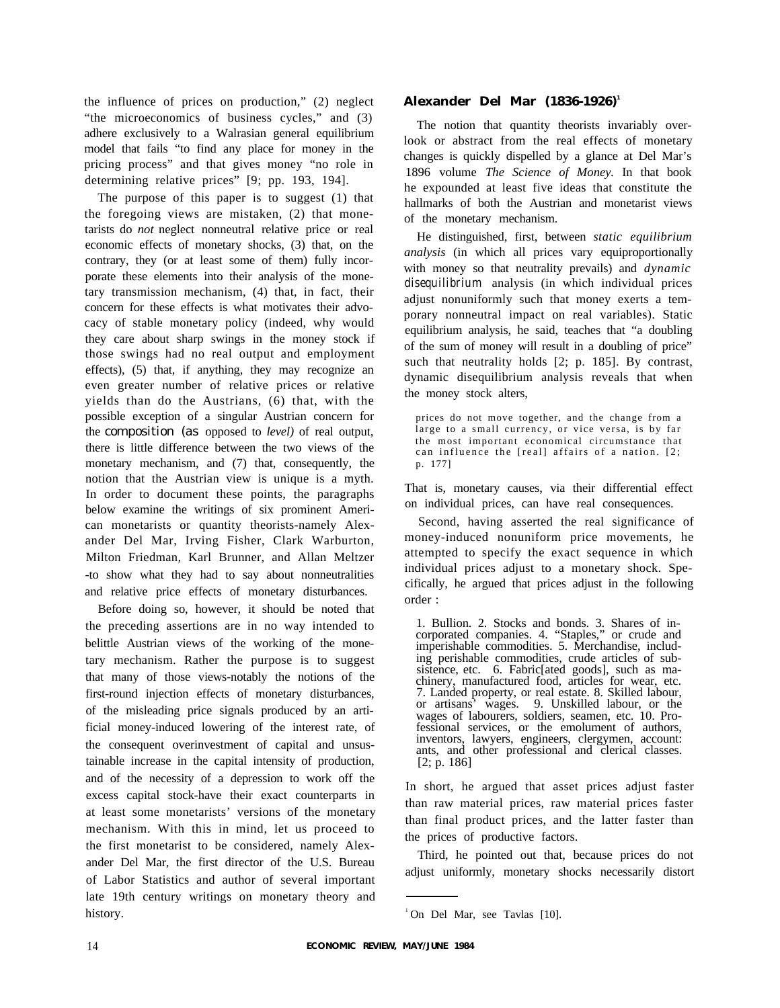the influence of prices on production," (2) neglect "the microeconomics of business cycles," and (3) adhere exclusively to a Walrasian general equilibrium model that fails "to find any place for money in the pricing process" and that gives money "no role in determining relative prices" [9; pp. 193, 194].

The purpose of this paper is to suggest (1) that the foregoing views are mistaken, (2) that monetarists do *not* neglect nonneutral relative price or real economic effects of monetary shocks, (3) that, on the contrary, they (or at least some of them) fully incorporate these elements into their analysis of the monetary transmission mechanism, (4) that, in fact, their concern for these effects is what motivates their advocacy of stable monetary policy (indeed, why would they care about sharp swings in the money stock if those swings had no real output and employment effects), (5) that, if anything, they may recognize an even greater number of relative prices or relative yields than do the Austrians, (6) that, with the possible exception of a singular Austrian concern for the composition (as opposed to *level)* of real output, there is little difference between the two views of the monetary mechanism, and (7) that, consequently, the notion that the Austrian view is unique is a myth. In order to document these points, the paragraphs below examine the writings of six prominent American monetarists or quantity theorists-namely Alexander Del Mar, Irving Fisher, Clark Warburton, Milton Friedman, Karl Brunner, and Allan Meltzer -to show what they had to say about nonneutralities and relative price effects of monetary disturbances.

Before doing so, however, it should be noted that the preceding assertions are in no way intended to belittle Austrian views of the working of the monetary mechanism. Rather the purpose is to suggest that many of those views-notably the notions of the first-round injection effects of monetary disturbances, of the misleading price signals produced by an artificial money-induced lowering of the interest rate, of the consequent overinvestment of capital and unsustainable increase in the capital intensity of production, and of the necessity of a depression to work off the excess capital stock-have their exact counterparts in at least some monetarists' versions of the monetary mechanism. With this in mind, let us proceed to the first monetarist to be considered, namely Alexander Del Mar, the first director of the U.S. Bureau of Labor Statistics and author of several important late 19th century writings on monetary theory and history.

#### **Alexander Del Mar (1836-1926)<sup>1</sup>**

The notion that quantity theorists invariably overlook or abstract from the real effects of monetary changes is quickly dispelled by a glance at Del Mar's 1896 volume *The Science of Money.* In that book he expounded at least five ideas that constitute the hallmarks of both the Austrian and monetarist views of the monetary mechanism.

He distinguished, first, between *static equilibrium analysis* (in which all prices vary equiproportionally with money so that neutrality prevails) and *dynamic disequilibrium* analysis (in which individual prices adjust nonuniformly such that money exerts a temporary nonneutral impact on real variables). Static equilibrium analysis, he said, teaches that "a doubling of the sum of money will result in a doubling of price" such that neutrality holds [2; p. 185]. By contrast, dynamic disequilibrium analysis reveals that when the money stock alters,

prices do not move together, and the change from a large to a small currency, or vice versa, is by far the most important economical circumstance that can influence the [real] affairs of a nation. [2; p. 177]

That is, monetary causes, via their differential effect on individual prices, can have real consequences.

Second, having asserted the real significance of money-induced nonuniform price movements, he attempted to specify the exact sequence in which individual prices adjust to a monetary shock. Specifically, he argued that prices adjust in the following order :

1. Bullion. 2. Stocks and bonds. 3. Shares of incorporated companies. 4. "Staples," or crude and imperishable commodities. 5. Merchandise, including perishable commodities, crude articles of subsistence, etc. 6. Fabric[ated goods], such as machinery, manufactured food, articles for wear, etc. 7. Landed property, or real estate. 8. Skilled labour, or artisans' wages. 9. Unskilled labour, or the wages of labourers, soldiers, seamen, etc. 10. Professional services, or the emolument of authors, inventors, lawyers, engineers, clergymen, account: ants, and other professional and clerical classes. [2; p. 186]

In short, he argued that asset prices adjust faster than raw material prices, raw material prices faster than final product prices, and the latter faster than the prices of productive factors.

Third, he pointed out that, because prices do not adjust uniformly, monetary shocks necessarily distort

<sup>&</sup>lt;sup>1</sup>On Del Mar, see Tavlas [10].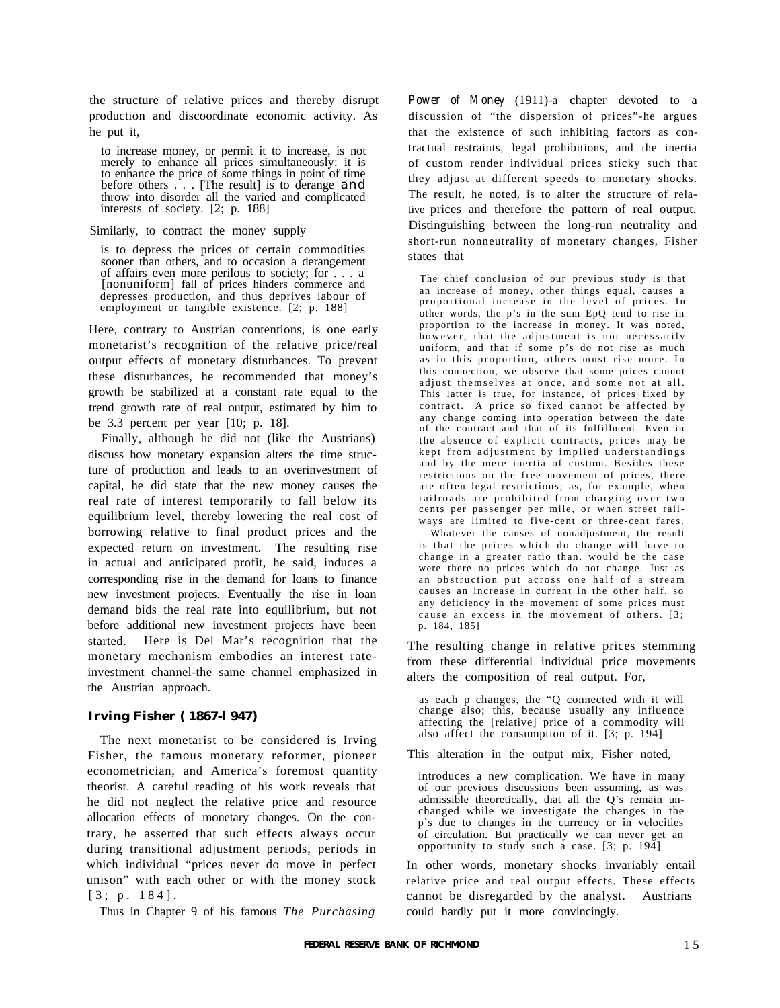the structure of relative prices and thereby disrupt production and discoordinate economic activity. As he put it,

to increase money, or permit it to increase, is not merely to enhance all prices simultaneously: it is to enhance the price of some things in point of time before others  $\therefore$  . [The result] is to derange and throw into disorder all the varied and complicated interests of society. [2; p. 188]

Similarly, to contract the money supply

is to depress the prices of certain commodities sooner than others, and to occasion a derangement of affairs even more perilous to society; for . . . a [nonuniform] fall of prices hinders commerce and depresses production, and thus deprives labour of employment or tangible existence. [2; p. 188]

Here, contrary to Austrian contentions, is one early monetarist's recognition of the relative price/real output effects of monetary disturbances. To prevent these disturbances, he recommended that money's growth be stabilized at a constant rate equal to the trend growth rate of real output, estimated by him to be 3.3 percent per year [10; p. 18].

Finally, although he did not (like the Austrians) discuss how monetary expansion alters the time structure of production and leads to an overinvestment of capital, he did state that the new money causes the real rate of interest temporarily to fall below its equilibrium level, thereby lowering the real cost of borrowing relative to final product prices and the expected return on investment. The resulting rise in actual and anticipated profit, he said, induces a corresponding rise in the demand for loans to finance new investment projects. Eventually the rise in loan demand bids the real rate into equilibrium, but not before additional new investment projects have been started. Here is Del Mar's recognition that the monetary mechanism embodies an interest rateinvestment channel-the same channel emphasized in the Austrian approach.

## **Irving Fisher ( 1867-l 947)**

The next monetarist to be considered is Irving Fisher, the famous monetary reformer, pioneer econometrician, and America's foremost quantity theorist. A careful reading of his work reveals that he did not neglect the relative price and resource allocation effects of monetary changes. On the contrary, he asserted that such effects always occur during transitional adjustment periods, periods in which individual "prices never do move in perfect unison" with each other or with the money stock [3; p. 184].

Thus in Chapter 9 of his famous *The Purchasing*

*Power of Money* (1911)-a chapter devoted to a discussion of "the dispersion of prices"-he argues that the existence of such inhibiting factors as contractual restraints, legal prohibitions, and the inertia of custom render individual prices sticky such that they adjust at different speeds to monetary shocks. The result, he noted, is to alter the structure of relative prices and therefore the pattern of real output. Distinguishing between the long-run neutrality and short-run nonneutrality of monetary changes, Fisher states that

The chief conclusion of our previous study is that an increase of money, other things equal, causes a proportional increase in the level of prices. In other words, the p's in the sum EpQ tend to rise in proportion to the increase in money. It was noted, however, that the adjustment is not necessarily uniform, and that if some p's do not rise as much as in this proportion, others must rise more. In this connection, we observe that some prices cannot adjust themselves at once, and some not at all. This latter is true, for instance, of prices fixed by contract. A price so fixed cannot be affected by any change coming into operation between the date of the contract and that of its fulfillment. Even in the absence of explicit contracts, prices may be kept from adjustment by implied understandings and by the mere inertia of custom. Besides these restrictions on the free movement of prices, there are often legal restrictions; as, for example, when railroads are prohibited from charging over two cents per passenger per mile, or when street railways are limited to five-cent or three-cent fares.

Whatever the causes of nonadjustment, the result is that the prices which do change will have to change in a greater ratio than. would be the case were there no prices which do not change. Just as an obstruction put across one half of a stream causes an increase in current in the other half, so any deficiency in the movement of some prices must cause an excess in the movement of others. [3; p. 184, 185]

The resulting change in relative prices stemming from these differential individual price movements alters the composition of real output. For,

as each p changes, the "Q connected with it will change also; this, because usually any influence affecting the [relative] price of a commodity will also affect the consumption of it. [3; p. 194]

This alteration in the output mix, Fisher noted,

introduces a new complication. We have in many of our previous discussions been assuming, as was admissible theoretically, that all the Q's remain unchanged while we investigate the changes in the p's due to changes in the currency or in velocities of circulation. But practically we can never get an opportunity to study such a case. [3; p. 194]

In other words, monetary shocks invariably entail relative price and real output effects. These effects cannot be disregarded by the analyst. Austrians could hardly put it more convincingly.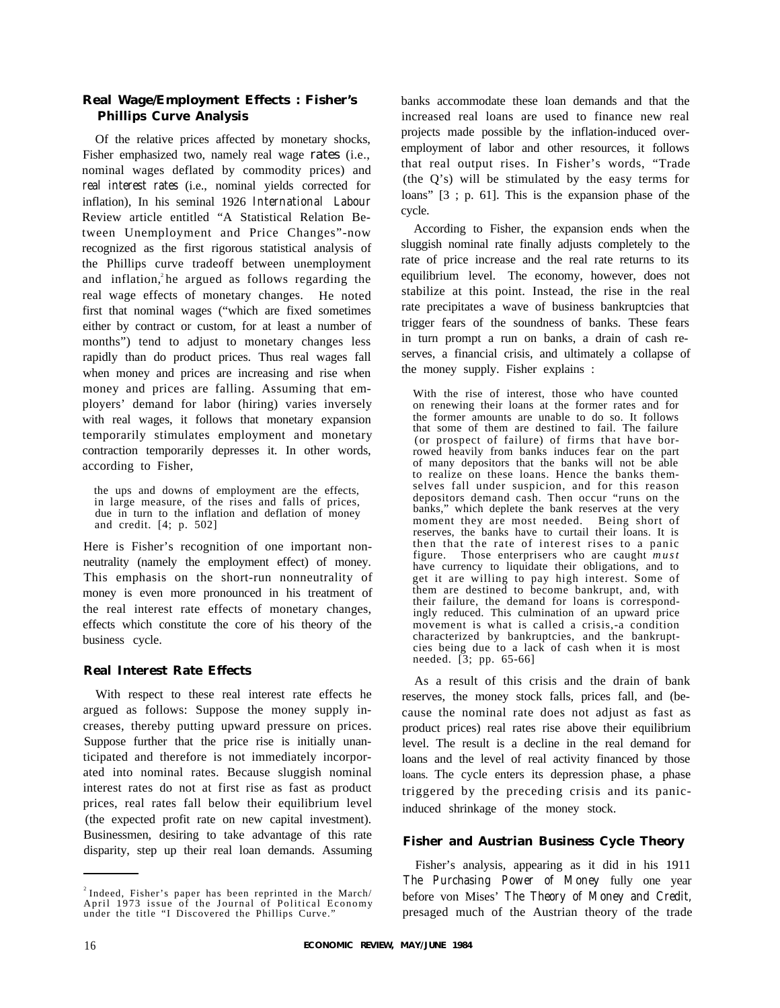## **Real Wage/Employment Effects : Fisher's Phillips Curve Analysis**

Of the relative prices affected by monetary shocks, Fisher emphasized two, namely real wage rates (i.e., nominal wages deflated by commodity prices) and *real interest rates* (i.e., nominal yields corrected for inflation), In his seminal 1926 *International Labour* Review article entitled "A Statistical Relation Between Unemployment and Price Changes"-now recognized as the first rigorous statistical analysis of the Phillips curve tradeoff between unemployment and inflation,  $\lambda$  he argued as follows regarding the real wage effects of monetary changes. He noted first that nominal wages ("which are fixed sometimes either by contract or custom, for at least a number of months") tend to adjust to monetary changes less rapidly than do product prices. Thus real wages fall when money and prices are increasing and rise when money and prices are falling. Assuming that employers' demand for labor (hiring) varies inversely with real wages, it follows that monetary expansion temporarily stimulates employment and monetary contraction temporarily depresses it. In other words, according to Fisher,

the ups and downs of employment are the effects, in large measure, of the rises and falls of prices, due in turn to the inflation and deflation of money and credit. [4; p. 502]

Here is Fisher's recognition of one important nonneutrality (namely the employment effect) of money. This emphasis on the short-run nonneutrality of money is even more pronounced in his treatment of the real interest rate effects of monetary changes, effects which constitute the core of his theory of the business cycle.

## **Real Interest Rate Effects**

With respect to these real interest rate effects he argued as follows: Suppose the money supply increases, thereby putting upward pressure on prices. Suppose further that the price rise is initially unanticipated and therefore is not immediately incorporated into nominal rates. Because sluggish nominal interest rates do not at first rise as fast as product prices, real rates fall below their equilibrium level (the expected profit rate on new capital investment). Businessmen, desiring to take advantage of this rate disparity, step up their real loan demands. Assuming banks accommodate these loan demands and that the increased real loans are used to finance new real projects made possible by the inflation-induced overemployment of labor and other resources, it follows that real output rises. In Fisher's words, "Trade (the Q's) will be stimulated by the easy terms for loans" [3 ; p. 61]. This is the expansion phase of the cycle.

According to Fisher, the expansion ends when the sluggish nominal rate finally adjusts completely to the rate of price increase and the real rate returns to its equilibrium level. The economy, however, does not stabilize at this point. Instead, the rise in the real rate precipitates a wave of business bankruptcies that trigger fears of the soundness of banks. These fears in turn prompt a run on banks, a drain of cash reserves, a financial crisis, and ultimately a collapse of the money supply. Fisher explains :

With the rise of interest, those who have counted on renewing their loans at the former rates and for the former amounts are unable to do so. It follows that some of them are destined to fail. The failure (or prospect of failure) of firms that have borrowed heavily from banks induces fear on the part of many depositors that the banks will not be able to realize on these loans. Hence the banks themselves fall under suspicion, and for this reason depositors demand cash. Then occur "runs on the banks," which deplete the bank reserves at the very moment they are most needed. Being short of reserves, the banks have to curtail their loans. It is then that the rate of interest rises to a panic figure. Those enterprisers who are caught *must* have currency to liquidate their obligations, and to get it are willing to pay high interest. Some of them are destined to become bankrupt, and, with their failure, the demand for loans is correspondingly reduced. This culmination of an upward price movement is what is called a crisis,-a condition characterized by bankruptcies, and the bankruptcies being due to a lack of cash when it is most needed. [3; pp. 65-66]

As a result of this crisis and the drain of bank reserves, the money stock falls, prices fall, and (because the nominal rate does not adjust as fast as product prices) real rates rise above their equilibrium level. The result is a decline in the real demand for loans and the level of real activity financed by those loans. The cycle enters its depression phase, a phase triggered by the preceding crisis and its panicinduced shrinkage of the money stock.

## **Fisher and Austrian Business Cycle Theory**

Fisher's analysis, appearing as it did in his 1911 *The Purchasing Power of Money* fully one year before von Mises' *The Theory of Money and Credit,* presaged much of the Austrian theory of the trade

 $2$ Indeed, Fisher's paper has been reprinted in the March/ April 1973 issue of the Journal of Political Economy under the title "I Discovered the Phillips Curve."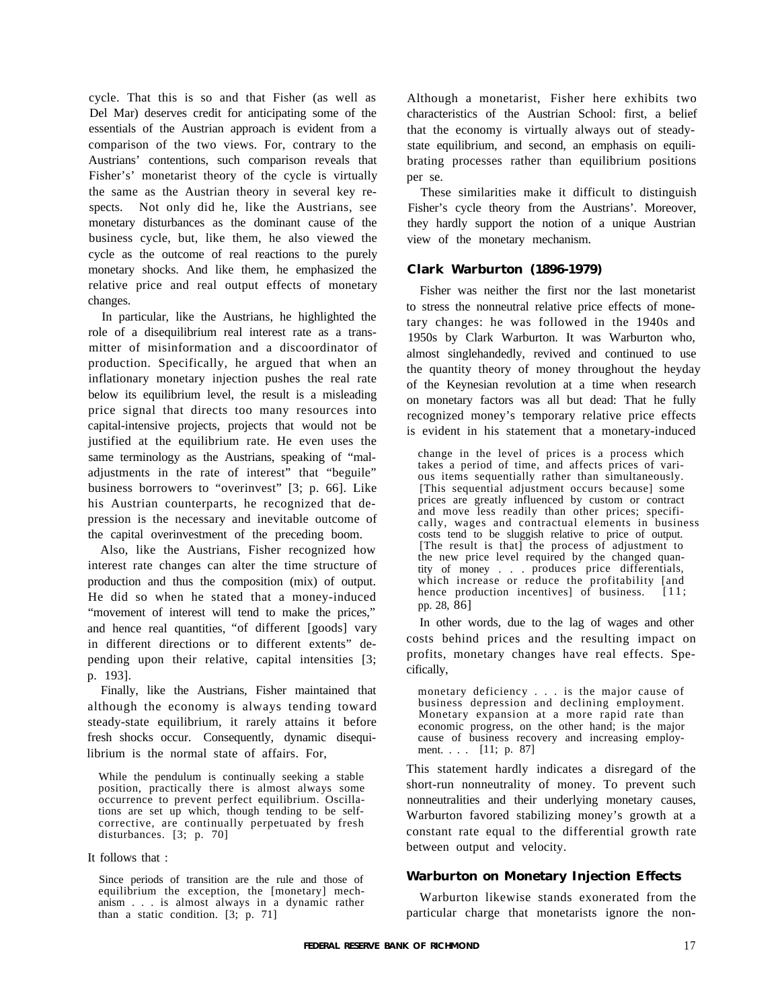cycle. That this is so and that Fisher (as well as Del Mar) deserves credit for anticipating some of the essentials of the Austrian approach is evident from a comparison of the two views. For, contrary to the Austrians' contentions, such comparison reveals that Fisher's' monetarist theory of the cycle is virtually the same as the Austrian theory in several key respects. Not only did he, like the Austrians, see monetary disturbances as the dominant cause of the business cycle, but, like them, he also viewed the cycle as the outcome of real reactions to the purely monetary shocks. And like them, he emphasized the relative price and real output effects of monetary changes.

In particular, like the Austrians, he highlighted the role of a disequilibrium real interest rate as a transmitter of misinformation and a discoordinator of production. Specifically, he argued that when an inflationary monetary injection pushes the real rate below its equilibrium level, the result is a misleading price signal that directs too many resources into capital-intensive projects, projects that would not be justified at the equilibrium rate. He even uses the same terminology as the Austrians, speaking of "maladjustments in the rate of interest" that "beguile" business borrowers to "overinvest" [3; p. 66]. Like his Austrian counterparts, he recognized that depression is the necessary and inevitable outcome of the capital overinvestment of the preceding boom.

Also, like the Austrians, Fisher recognized how interest rate changes can alter the time structure of production and thus the composition (mix) of output. He did so when he stated that a money-induced "movement of interest will tend to make the prices," and hence real quantities, "of different [goods] vary in different directions or to different extents" depending upon their relative, capital intensities [3; p. 193].

Finally, like the Austrians, Fisher maintained that although the economy is always tending toward steady-state equilibrium, it rarely attains it before fresh shocks occur. Consequently, dynamic disequilibrium is the normal state of affairs. For,

While the pendulum is continually seeking a stable position, practically there is almost always some occurrence to prevent perfect equilibrium. Oscillations are set up which, though tending to be selfcorrective, are continually perpetuated by fresh disturbances. [3; p. 70]

It follows that :

Since periods of transition are the rule and those of equilibrium the exception, the [monetary] mechanism . . . is almost always in a dynamic rather than a static condition. [3; p. 71]

Although a monetarist, Fisher here exhibits two characteristics of the Austrian School: first, a belief that the economy is virtually always out of steadystate equilibrium, and second, an emphasis on equilibrating processes rather than equilibrium positions per se.

These similarities make it difficult to distinguish Fisher's cycle theory from the Austrians'. Moreover, they hardly support the notion of a unique Austrian view of the monetary mechanism.

## **Clark Warburton (1896-1979)**

Fisher was neither the first nor the last monetarist to stress the nonneutral relative price effects of monetary changes: he was followed in the 1940s and 1950s by Clark Warburton. It was Warburton who, almost singlehandedly, revived and continued to use the quantity theory of money throughout the heyday of the Keynesian revolution at a time when research on monetary factors was all but dead: That he fully recognized money's temporary relative price effects is evident in his statement that a monetary-induced

change in the level of prices is a process which takes a period of time, and affects prices of various items sequentially rather than simultaneously. [This sequential adjustment occurs because] some prices are greatly influenced by custom or contract and move less readily than other prices; specifically, wages and contractual elements in business costs tend to be sluggish relative to price of output. [The result is that] the process of adjustment to the new price level required by the changed quantity of money . . . produces price differentials, which increase or reduce the profitability [and hence production incentives] of business. [11; pp. 28, 86]

In other words, due to the lag of wages and other costs behind prices and the resulting impact on profits, monetary changes have real effects. Specifically,

monetary deficiency . . . is the major cause of business depression and declining employment. Monetary expansion at a more rapid rate than economic progress, on the other hand; is the major cause of business recovery and increasing employment. . . . [11; p. 87]

This statement hardly indicates a disregard of the short-run nonneutrality of money. To prevent such nonneutralities and their underlying monetary causes, Warburton favored stabilizing money's growth at a constant rate equal to the differential growth rate between output and velocity.

## **Warburton on Monetary Injection Effects**

Warburton likewise stands exonerated from the particular charge that monetarists ignore the non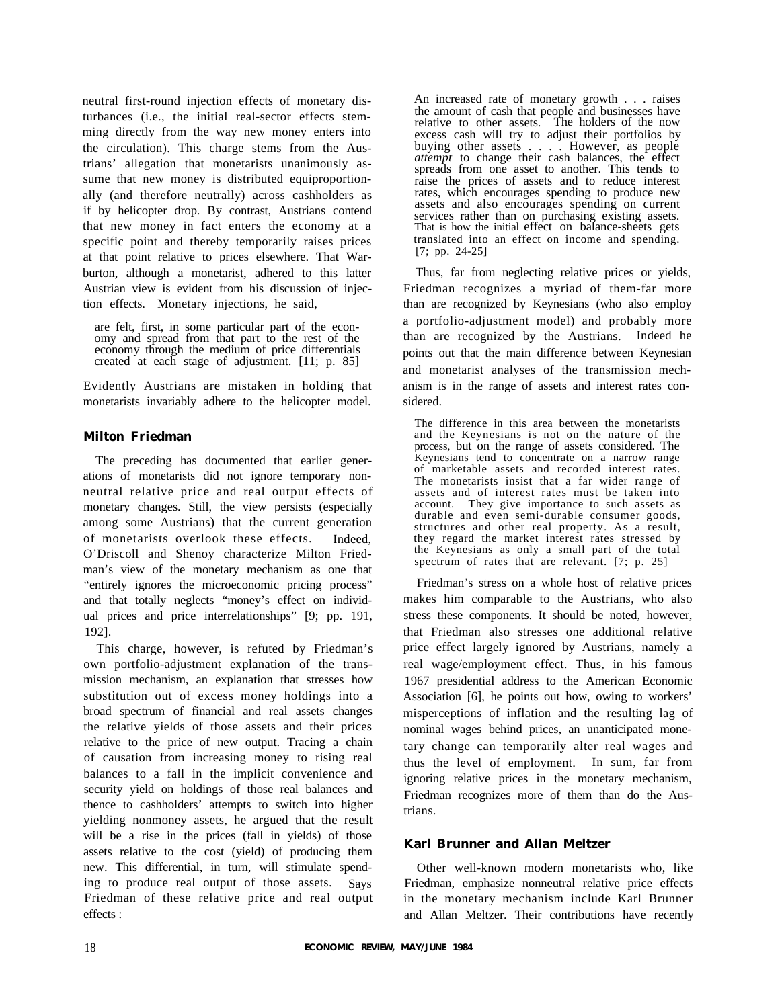neutral first-round injection effects of monetary disturbances (i.e., the initial real-sector effects stemming directly from the way new money enters into the circulation). This charge stems from the Austrians' allegation that monetarists unanimously assume that new money is distributed equiproportionally (and therefore neutrally) across cashholders as if by helicopter drop. By contrast, Austrians contend that new money in fact enters the economy at a specific point and thereby temporarily raises prices at that point relative to prices elsewhere. That Warburton, although a monetarist, adhered to this latter Austrian view is evident from his discussion of injection effects. Monetary injections, he said,

are felt, first, in some particular part of the economy and spread from that part to the rest of the economy through the medium of price differentials created at each stage of adjustment. [11; p. 85]

Evidently Austrians are mistaken in holding that monetarists invariably adhere to the helicopter model.

## **Milton Friedman**

The preceding has documented that earlier generations of monetarists did not ignore temporary nonneutral relative price and real output effects of monetary changes. Still, the view persists (especially among some Austrians) that the current generation of monetarists overlook these effects. Indeed, O'Driscoll and Shenoy characterize Milton Friedman's view of the monetary mechanism as one that "entirely ignores the microeconomic pricing process" and that totally neglects "money's effect on individual prices and price interrelationships" [9; pp. 191, 192].

This charge, however, is refuted by Friedman's own portfolio-adjustment explanation of the transmission mechanism, an explanation that stresses how substitution out of excess money holdings into a broad spectrum of financial and real assets changes the relative yields of those assets and their prices relative to the price of new output. Tracing a chain of causation from increasing money to rising real balances to a fall in the implicit convenience and security yield on holdings of those real balances and thence to cashholders' attempts to switch into higher yielding nonmoney assets, he argued that the result will be a rise in the prices (fall in yields) of those assets relative to the cost (yield) of producing them new. This differential, in turn, will stimulate spending to produce real output of those assets. Says Friedman of these relative price and real output effects :

An increased rate of monetary growth . . . raises the amount of cash that people and businesses have relative to other assets. The holders of the now excess cash will try to adjust their portfolios by buying other assets . . . . However, as people *attempt* to change their cash balances, the effect spreads from one asset to another. This tends to raise the prices of assets and to reduce interest rates, which encourages spending to produce new assets and also encourages spending on current services rather than on purchasing existing assets. That is how the initial effect on balance-sheets gets translated into an effect on income and spending. [7; pp. 24-25]

Thus, far from neglecting relative prices or yields, Friedman recognizes a myriad of them-far more than are recognized by Keynesians (who also employ a portfolio-adjustment model) and probably more than are recognized by the Austrians. Indeed he points out that the main difference between Keynesian and monetarist analyses of the transmission mechanism is in the range of assets and interest rates considered.

The difference in this area between the monetarists and the Keynesians is not on the nature of the process, but on the range of assets considered. The Keynesians tend to concentrate on a narrow range of marketable assets and recorded interest rates. The monetarists insist that a far wider range of assets and of interest rates must be taken into account. They give importance to such assets as durable and even semi-durable consumer goods, structures and other real property. As a result, they regard the market interest rates stressed by the Keynesians as only a small part of the total spectrum of rates that are relevant. [7; p. 25]

Friedman's stress on a whole host of relative prices makes him comparable to the Austrians, who also stress these components. It should be noted, however, that Friedman also stresses one additional relative price effect largely ignored by Austrians, namely a real wage/employment effect. Thus, in his famous 1967 presidential address to the American Economic Association [6], he points out how, owing to workers' misperceptions of inflation and the resulting lag of nominal wages behind prices, an unanticipated monetary change can temporarily alter real wages and thus the level of employment. In sum, far from ignoring relative prices in the monetary mechanism, Friedman recognizes more of them than do the Austrians.

# **Karl Brunner and Allan Meltzer**

Other well-known modern monetarists who, like Friedman, emphasize nonneutral relative price effects in the monetary mechanism include Karl Brunner and Allan Meltzer. Their contributions have recently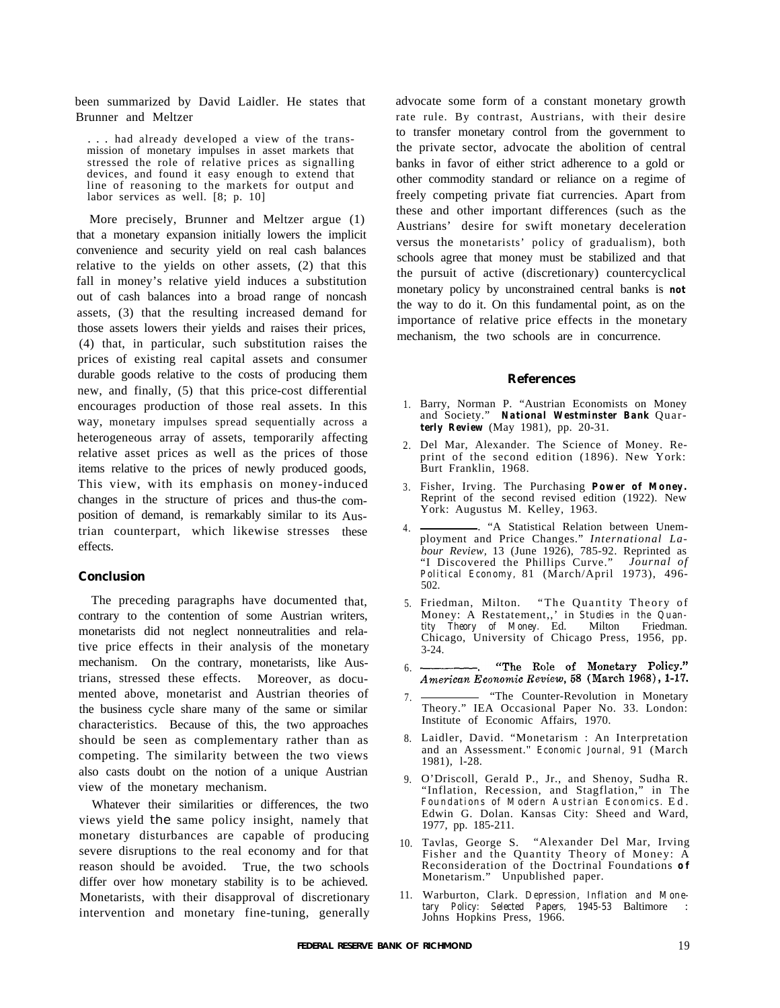been summarized by David Laidler. He states that Brunner and Meltzer

. had already developed a view of the transmission of monetary impulses in asset markets that stressed the role of relative prices as signalling devices, and found it easy enough to extend that line of reasoning to the markets for output and labor services as well. [8; p. 10]

More precisely, Brunner and Meltzer argue (1) that a monetary expansion initially lowers the implicit convenience and security yield on real cash balances relative to the yields on other assets, (2) that this fall in money's relative yield induces a substitution out of cash balances into a broad range of noncash assets, (3) that the resulting increased demand for those assets lowers their yields and raises their prices, (4) that, in particular, such substitution raises the prices of existing real capital assets and consumer durable goods relative to the costs of producing them new, and finally, (5) that this price-cost differential encourages production of those real assets. In this way, monetary impulses spread sequentially across a heterogeneous array of assets, temporarily affecting relative asset prices as well as the prices of those items relative to the prices of newly produced goods, This view, with its emphasis on money-induced changes in the structure of prices and thus-the composition of demand, is remarkably similar to its Austrian counterpart, which likewise stresses effects.

#### **Conclusion**

The preceding paragraphs have documented that, contrary to the contention of some Austrian writers, monetarists did not neglect nonneutralities and relative price effects in their analysis of the monetary mechanism. On the contrary, monetarists, like Austrians, stressed these effects. Moreover, as documented above, monetarist and Austrian theories of the business cycle share many of the same or similar characteristics. Because of this, the two approaches should be seen as complementary rather than as competing. The similarity between the two views also casts doubt on the notion of a unique Austrian view of the monetary mechanism.

Whatever their similarities or differences, the two views yield the same policy insight, namely that monetary disturbances are capable of producing severe disruptions to the real economy and for that reason should be avoided. True, the two schools differ over how monetary stability is to be achieved. Monetarists, with their disapproval of discretionary intervention and monetary fine-tuning, generally advocate some form of a constant monetary growth rate rule. By contrast, Austrians, with their desire to transfer monetary control from the government to the private sector, advocate the abolition of central banks in favor of either strict adherence to a gold or other commodity standard or reliance on a regime of freely competing private fiat currencies. Apart from these and other important differences (such as the Austrians' desire for swift monetary deceleration versus the monetarists' policy of gradualism), both schools agree that money must be stabilized and that the pursuit of active (discretionary) countercyclical monetary policy by unconstrained central banks is *not* the way to do it. On this fundamental point, as on the importance of relative price effects in the monetary mechanism, the two schools are in concurrence.

#### **References**

- 1. Barry, Norman P. "Austrian Economists on Money and Society." *National Westminster Bank* Quar*terly Review* (May 1981), pp. 20-31.
- 2. Del Mar, Alexander. The Science of Money. Reprint of the second edition (1896). New York: Burt Franklin, 1968.
- 3. Fisher, Irving. The Purchasing *Power of Money.* Reprint of the second revised edition (1922). New York: Augustus M. Kelley, 1963.
- these 4. . "A Statistical Relation between Unem-ployment and Price Changes." *International Labour Review,* 13 (June 1926), 785-92. Reprinted as "I Discovered the Phillips Curve." *Journal of Political Economy,* 81 (March/April 1973), 496- 502.
	- Friedman, Milton. "The Quantity Theory of Money: A Restatement,,' in *Studies in the Quantity Theory of Money.* Ed. Milton Friedman. Chicago, University of Chicago Press, 1956, pp. 3-24.
	- 6.
	- 7. - "The Counter-Revolution in Monetary Theory." IEA Occasional Paper No. 33. London: Institute of Economic Affairs, 1970.
	- 8. Laidler, David. "Monetarism : An Interpretation and an Assessment." *Economic Journal,* 91 (March 1981), l-28.
	- 9. O'Driscoll, Gerald P., Jr., and Shenoy, Sudha R. "Inflation, Recession, and Stagflation," in The *Foundations of Modern Austrian Economics.* Ed. Edwin G. Dolan. Kansas City: Sheed and Ward, 1977, pp. 185-211.
	- 10. Tavlas, George S. "Alexander Del Mar, Irving Fisher and the Quantity Theory of Money: A Reconsideration of the Doctrinal Foundations *o f* Monetarism." Unpublished paper.
	- 11. Warburton, Clark. *Depression, Inflation and Monetary Policy: Selected Papers, 1945-53* Baltimore : Johns Hopkins Press, 1966.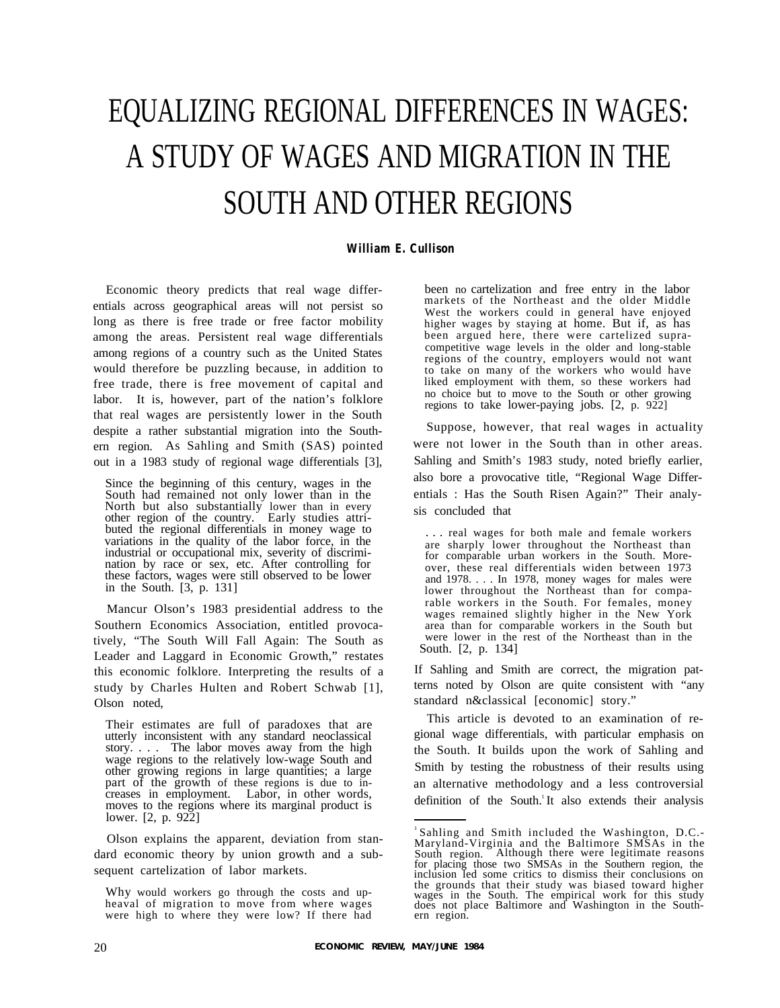# EQUALIZING REGIONAL DIFFERENCES IN WAGES: A STUDY OF WAGES AND MIGRATION IN THE SOUTH AND OTHER REGIONS

## *William E. Cullison*

Economic theory predicts that real wage differentials across geographical areas will not persist so long as there is free trade or free factor mobility among the areas. Persistent real wage differentials among regions of a country such as the United States would therefore be puzzling because, in addition to free trade, there is free movement of capital and labor. It is, however, part of the nation's folklore that real wages are persistently lower in the South despite a rather substantial migration into the Southern region. As Sahling and Smith (SAS) pointed out in a 1983 study of regional wage differentials [3],

Since the beginning of this century, wages in the South had remained not only lower than in the North but also substantially lower than in every other region of the country. Early studies attributed the regional differentials in money wage to variations in the quality of the labor force, in the industrial or occupational mix, severity of discrimination by race or sex, etc. After controlling for these factors, wages were still observed to be lower in the South. [3, p. 131]

Mancur Olson's 1983 presidential address to the Southern Economics Association, entitled provocatively, "The South Will Fall Again: The South as Leader and Laggard in Economic Growth," restates this economic folklore. Interpreting the results of a study by Charles Hulten and Robert Schwab [1], Olson noted,

Their estimates are full of paradoxes that are utterly inconsistent with any standard neoclassical story. . . . The labor moves away from the high wage regions to the relatively low-wage South and other growing regions in large quantities; a large part of the growth of these regions is due to increases in employment. Labor, in other words, moves to the regions where its marginal product is lower. [2, p. 922]

Olson explains the apparent, deviation from standard economic theory by union growth and a subsequent cartelization of labor markets.

Why would workers go through the costs and upheaval of migration to move from where wages were high to where they were low? If there had

been no cartelization and free entry in the labor markets of the Northeast and the older Middle West the workers could in general have enjoyed higher wages by staying at home. But if, as has been argued here, there were cartelized supracompetitive wage levels in the older and long-stable regions of the country, employers would not want to take on many of the workers who would have liked employment with them, so these workers had no choice but to move to the South or other growing regions to take lower-paying jobs. [2, p. 922]

Suppose, however, that real wages in actuality were not lower in the South than in other areas. Sahling and Smith's 1983 study, noted briefly earlier, also bore a provocative title, "Regional Wage Differentials : Has the South Risen Again?" Their analysis concluded that

. . . real wages for both male and female workers are sharply lower throughout the Northeast than for comparable urban workers in the South. Moreover, these real differentials widen between 1973 and 1978. . . . In 1978, money wages for males were lower throughout the Northeast than for comparable workers in the South. For females, money wages remained slightly higher in the New York area than for comparable workers in the South but were lower in the rest of the Northeast than in the South. [2, p. 134]

If Sahling and Smith are correct, the migration patterns noted by Olson are quite consistent with "any standard n&classical [economic] story."

This article is devoted to an examination of regional wage differentials, with particular emphasis on the South. It builds upon the work of Sahling and Smith by testing the robustness of their results using an alternative methodology and a less controversial definition of the South.<sup>1</sup>It also extends their analysis

 $1$ Sahling and Smith included the Washington, D.C.-Maryland-Virginia and the Baltimore SMSAs in the South region. Although there were legitimate reasons for placing those two SMSAs in the Southern region, the inclusion led some critics to dismiss their conclusions on the grounds that their study was biased toward higher wages in the South. The empirical work for this study does not place Baltimore and Washington in the Southern region.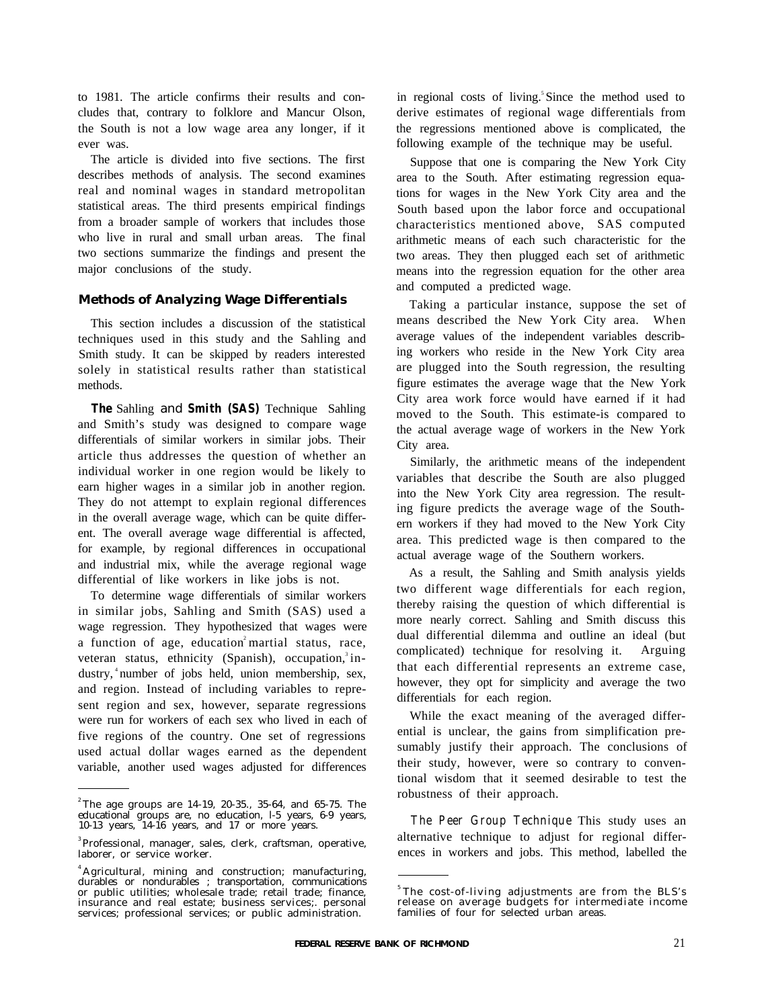cludes that, contrary to folklore and Mancur Olson, derive estimates of regional wage differentials from the South is not a low wage area any longer, if it the regressions mentioned above is complicated, the ever was. following example of the technique may be useful.

The article is divided into five sections. The first describes methods of analysis. The second examines real and nominal wages in standard metropolitan statistical areas. The third presents empirical findings from a broader sample of workers that includes those who live in rural and small urban areas. The final two sections summarize the findings and present the major conclusions of the study.

#### **Methods of Analyzing Wage Differentials**

This section includes a discussion of the statistical techniques used in this study and the Sahling and Smith study. It can be skipped by readers interested solely in statistical results rather than statistical methods.

*The* Sahling and *Smith (SAS)* Technique Sahling and Smith's study was designed to compare wage differentials of similar workers in similar jobs. Their article thus addresses the question of whether an individual worker in one region would be likely to earn higher wages in a similar job in another region. They do not attempt to explain regional differences in the overall average wage, which can be quite different. The overall average wage differential is affected, for example, by regional differences in occupational and industrial mix, while the average regional wage differential of like workers in like jobs is not.

To determine wage differentials of similar workers in similar jobs, Sahling and Smith (SAS) used a wage regression. They hypothesized that wages were a function of age, education<sup>2</sup> martial status, race, veteran status, ethnicity (Spanish), occupation, $3$  industry, <sup>4</sup>number of jobs held, union membership, sex, and region. Instead of including variables to represent region and sex, however, separate regressions were run for workers of each sex who lived in each of five regions of the country. One set of regressions used actual dollar wages earned as the dependent variable, another used wages adjusted for differences

to 1981. The article confirms their results and con- in regional costs of living.<sup>5</sup>Since the method used to

Suppose that one is comparing the New York City area to the South. After estimating regression equations for wages in the New York City area and the South based upon the labor force and occupational characteristics mentioned above, SAS computed arithmetic means of each such characteristic for the two areas. They then plugged each set of arithmetic means into the regression equation for the other area and computed a predicted wage.

Taking a particular instance, suppose the set of means described the New York City area. When average values of the independent variables describing workers who reside in the New York City area are plugged into the South regression, the resulting figure estimates the average wage that the New York City area work force would have earned if it had moved to the South. This estimate-is compared to the actual average wage of workers in the New York City area.

Similarly, the arithmetic means of the independent variables that describe the South are also plugged into the New York City area regression. The resulting figure predicts the average wage of the Southern workers if they had moved to the New York City area. This predicted wage is then compared to the actual average wage of the Southern workers.

As a result, the Sahling and Smith analysis yields two different wage differentials for each region, thereby raising the question of which differential is more nearly correct. Sahling and Smith discuss this dual differential dilemma and outline an ideal (but complicated) technique for resolving it. Arguing that each differential represents an extreme case, however, they opt for simplicity and average the two differentials for each region.

While the exact meaning of the averaged differential is unclear, the gains from simplification presumably justify their approach. The conclusions of their study, however, were so contrary to conventional wisdom that it seemed desirable to test the robustness of their approach.

*The Peer Group Technique* This study uses an alternative technique to adjust for regional differences in workers and jobs. This method, labelled the

<sup>&</sup>lt;sup>2</sup> The age groups are 14-19, 20-35., 35-64, and 65-75. The educational groups are, no education, l-5 years, 6-9 years, 10-13 years, 14-16 years, and 17 or more years.

<sup>&</sup>lt;sup>3</sup>Professional, manager, sales, clerk, craftsman, operative, laborer, or service worker.

<sup>&</sup>lt;sup>4</sup> Agricultural, mining and construction; manufacturing, durables or nondurables ; transportation, communications or public utilities; wholesale trade; retail trade; finance, insurance and real estate; business services;. personal services; professional services; or public administration.

<sup>&</sup>lt;sup>5</sup>The cost-of-living adjustments are from the BLS's release on average budgets for intermediate income families of four for selected urban areas.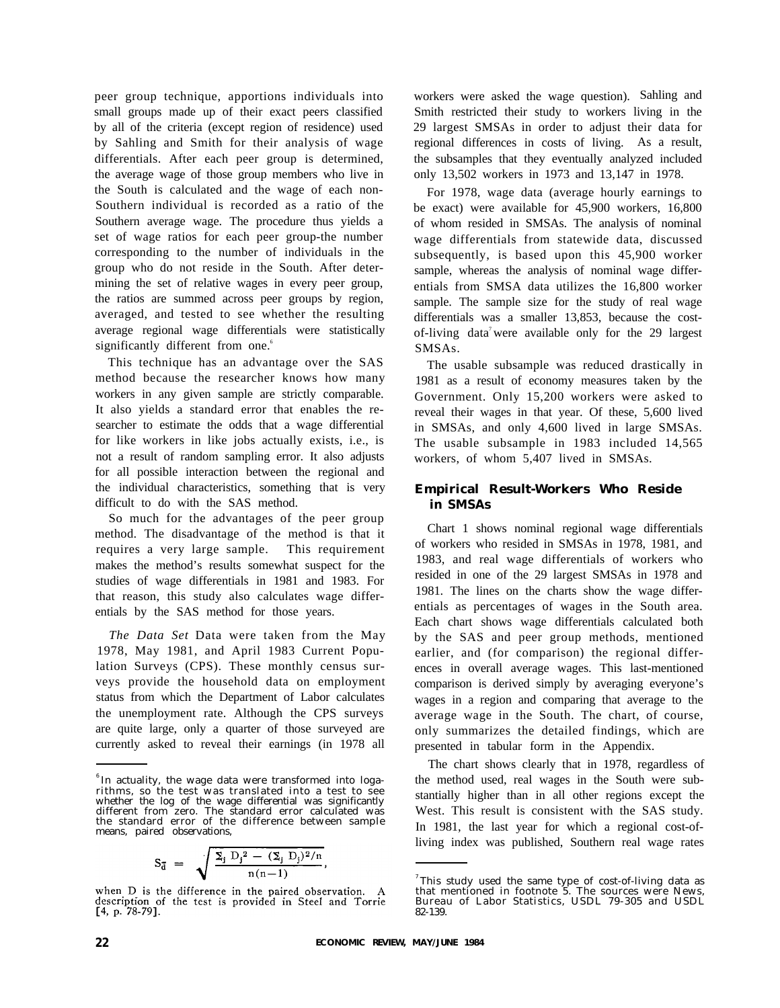peer group technique, apportions individuals into small groups made up of their exact peers classified by all of the criteria (except region of residence) used by Sahling and Smith for their analysis of wage differentials. After each peer group is determined, the average wage of those group members who live in the South is calculated and the wage of each non-Southern individual is recorded as a ratio of the Southern average wage. The procedure thus yields a set of wage ratios for each peer group-the number corresponding to the number of individuals in the group who do not reside in the South. After determining the set of relative wages in every peer group, the ratios are summed across peer groups by region, averaged, and tested to see whether the resulting average regional wage differentials were statistically significantly different from one.<sup>6</sup>

This technique has an advantage over the SAS method because the researcher knows how many workers in any given sample are strictly comparable. It also yields a standard error that enables the researcher to estimate the odds that a wage differential for like workers in like jobs actually exists, i.e., is not a result of random sampling error. It also adjusts for all possible interaction between the regional and the individual characteristics, something that is very difficult to do with the SAS method.

So much for the advantages of the peer group method. The disadvantage of the method is that it requires a very large sample. This requirement makes the method's results somewhat suspect for the studies of wage differentials in 1981 and 1983. For that reason, this study also calculates wage differentials by the SAS method for those years.

*The Data Set* Data were taken from the May 1978, May 1981, and April 1983 Current Population Surveys (CPS). These monthly census surveys provide the household data on employment status from which the Department of Labor calculates the unemployment rate. Although the CPS surveys are quite large, only a quarter of those surveyed are currently asked to reveal their earnings (in 1978 all

$$
S_{\bar{d}}\;=\;\;\sqrt{\frac{\Sigma_j\;D_j{}^2\,-\,(\Sigma_j\;D_j)^2/n}{n(n\!-\!1)}}
$$

workers were asked the wage question). Sahling and Smith restricted their study to workers living in the 29 largest SMSAs in order to adjust their data for regional differences in costs of living. As a result, the subsamples that they eventually analyzed included only 13,502 workers in 1973 and 13,147 in 1978.

For 1978, wage data (average hourly earnings to be exact) were available for 45,900 workers, 16,800 of whom resided in SMSAs. The analysis of nominal wage differentials from statewide data, discussed subsequently, is based upon this 45,900 worker sample, whereas the analysis of nominal wage differentials from SMSA data utilizes the 16,800 worker sample. The sample size for the study of real wage differentials was a smaller 13,853, because the costof-living data<sup>7</sup> were available only for the 29 largest SMSAs.

The usable subsample was reduced drastically in 1981 as a result of economy measures taken by the Government. Only 15,200 workers were asked to reveal their wages in that year. Of these, 5,600 lived in SMSAs, and only 4,600 lived in large SMSAs. The usable subsample in 1983 included 14,565 workers, of whom 5,407 lived in SMSAs.

# **Empirical Result-Workers Who Reside in SMSAs**

Chart 1 shows nominal regional wage differentials of workers who resided in SMSAs in 1978, 1981, and 1983, and real wage differentials of workers who resided in one of the 29 largest SMSAs in 1978 and 1981. The lines on the charts show the wage differentials as percentages of wages in the South area. Each chart shows wage differentials calculated both by the SAS and peer group methods, mentioned earlier, and (for comparison) the regional differences in overall average wages. This last-mentioned comparison is derived simply by averaging everyone's wages in a region and comparing that average to the average wage in the South. The chart, of course, only summarizes the detailed findings, which are presented in tabular form in the Appendix.

The chart shows clearly that in 1978, regardless of the method used, real wages in the South were substantially higher than in all other regions except the West. This result is consistent with the SAS study. In 1981, the last year for which a regional cost-ofliving index was published, Southern real wage rates

 $\delta$  In actuality, the wage data were transformed into logarithms, so the test was translated into a test to see whether the log of the wage differential was significantly different from zero. The standard error calculated was the standard error of the difference between sample means, paired observations,

when D is the difference in the paired observation. A description of the test is provided in Steel and Torrie  $[4, p. 78-79]$ .

 $^7$ This study used the same type of cost-of-living data as that mentioned in footnote 5. The sources were News, Bureau of Labor Statistics, USDL 79-305 and USDL 82-139.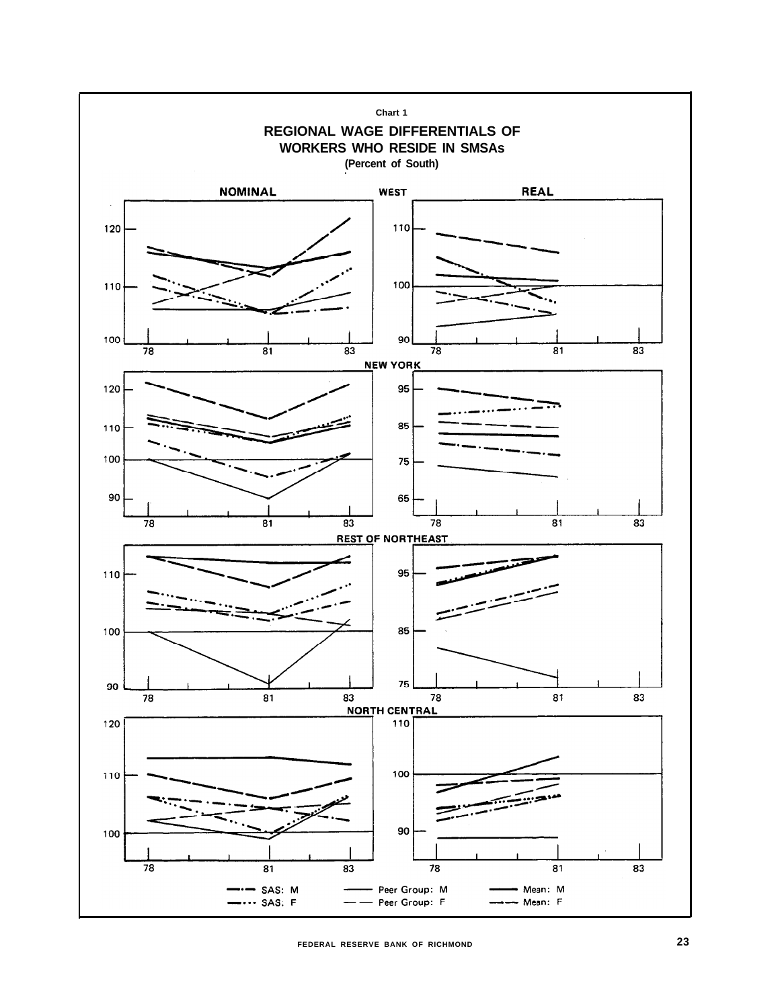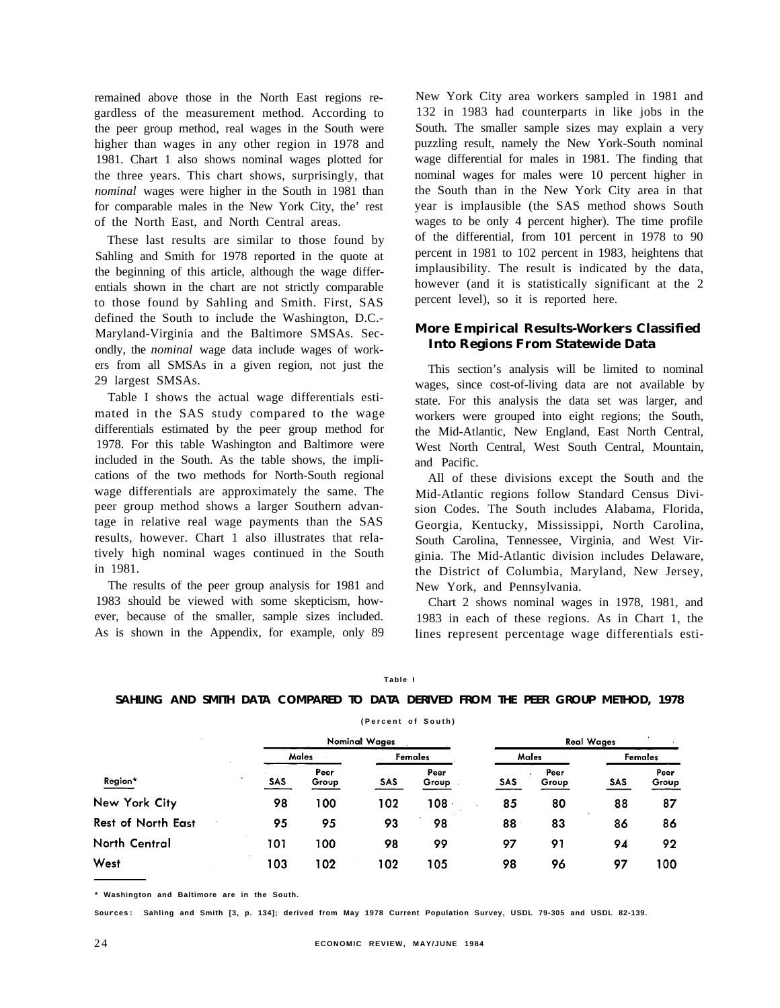remained above those in the North East regions regardless of the measurement method. According to the peer group method, real wages in the South were higher than wages in any other region in 1978 and 1981. Chart 1 also shows nominal wages plotted for the three years. This chart shows, surprisingly, that *nominal* wages were higher in the South in 1981 than for comparable males in the New York City, the' rest of the North East, and North Central areas.

These last results are similar to those found by Sahling and Smith for 1978 reported in the quote at the beginning of this article, although the wage differentials shown in the chart are not strictly comparable to those found by Sahling and Smith. First, SAS defined the South to include the Washington, D.C.- Maryland-Virginia and the Baltimore SMSAs. Secondly, the *nominal* wage data include wages of workers from all SMSAs in a given region, not just the 29 largest SMSAs.

Table I shows the actual wage differentials estimated in the SAS study compared to the wage differentials estimated by the peer group method for 1978. For this table Washington and Baltimore were included in the South. As the table shows, the implications of the two methods for North-South regional wage differentials are approximately the same. The peer group method shows a larger Southern advantage in relative real wage payments than the SAS results, however. Chart 1 also illustrates that relatively high nominal wages continued in the South in 1981.

The results of the peer group analysis for 1981 and 1983 should be viewed with some skepticism, however, because of the smaller, sample sizes included. As is shown in the Appendix, for example, only 89

New York City area workers sampled in 1981 and 132 in 1983 had counterparts in like jobs in the South. The smaller sample sizes may explain a very puzzling result, namely the New York-South nominal wage differential for males in 1981. The finding that nominal wages for males were 10 percent higher in the South than in the New York City area in that year is implausible (the SAS method shows South wages to be only 4 percent higher). The time profile of the differential, from 101 percent in 1978 to 90 percent in 1981 to 102 percent in 1983, heightens that implausibility. The result is indicated by the data, however (and it is statistically significant at the 2 percent level), so it is reported here.

## **More Empirical Results-Workers Classified Into Regions From Statewide Data**

This section's analysis will be limited to nominal wages, since cost-of-living data are not available by state. For this analysis the data set was larger, and workers were grouped into eight regions; the South, the Mid-Atlantic, New England, East North Central, West North Central, West South Central, Mountain, and Pacific.

All of these divisions except the South and the Mid-Atlantic regions follow Standard Census Division Codes. The South includes Alabama, Florida, Georgia, Kentucky, Mississippi, North Carolina, South Carolina, Tennessee, Virginia, and West Virginia. The Mid-Atlantic division includes Delaware, the District of Columbia, Maryland, New Jersey, New York, and Pennsylvania.

Chart 2 shows nominal wages in 1978, 1981, and 1983 in each of these regions. As in Chart 1, the lines represent percentage wage differentials esti-

| ×<br>v | . . | able<br>×<br>۰. |  |  |
|--------|-----|-----------------|--|--|
|        |     |                 |  |  |

## **SAHLING AND SMITH DATA COMPARED TO DATA DERIVED FROM THE PEER GROUP METHOD, 1978**

**(Percent of South)**

|                           |     | <b>Nominal Wages</b> |     |               |       | <b>Real Wages</b> |         |               |  |
|---------------------------|-----|----------------------|-----|---------------|-------|-------------------|---------|---------------|--|
| Region*                   |     | Males                |     | Females       | Males |                   | Females |               |  |
|                           | SAS | Peer<br>Group        | SAS | Peer<br>Group | SAS   | Peer<br>Group     | SAS     | Peer<br>Group |  |
| New York City             | 98  | 00 ا                 | 102 | 108           | 85    | 80                | 88      | 87            |  |
| <b>Rest of North East</b> | 95  | 95                   | 93  | 98            | 88    | 83                | 86      | 86            |  |
| North Central             | 101 | 100                  | 98  | 99            | 97    | 91                | 94      | 92            |  |
| West                      | 103 | l 02                 | 102 | 105           | 98    | 96                | 97      | 100           |  |

**\* Washington and Baltimore are in the South.**

**Sources: Sahling and Smith [3, p. 134]; derived from May 1978 Current Population Survey, USDL 79-305 and USDL 82-139.**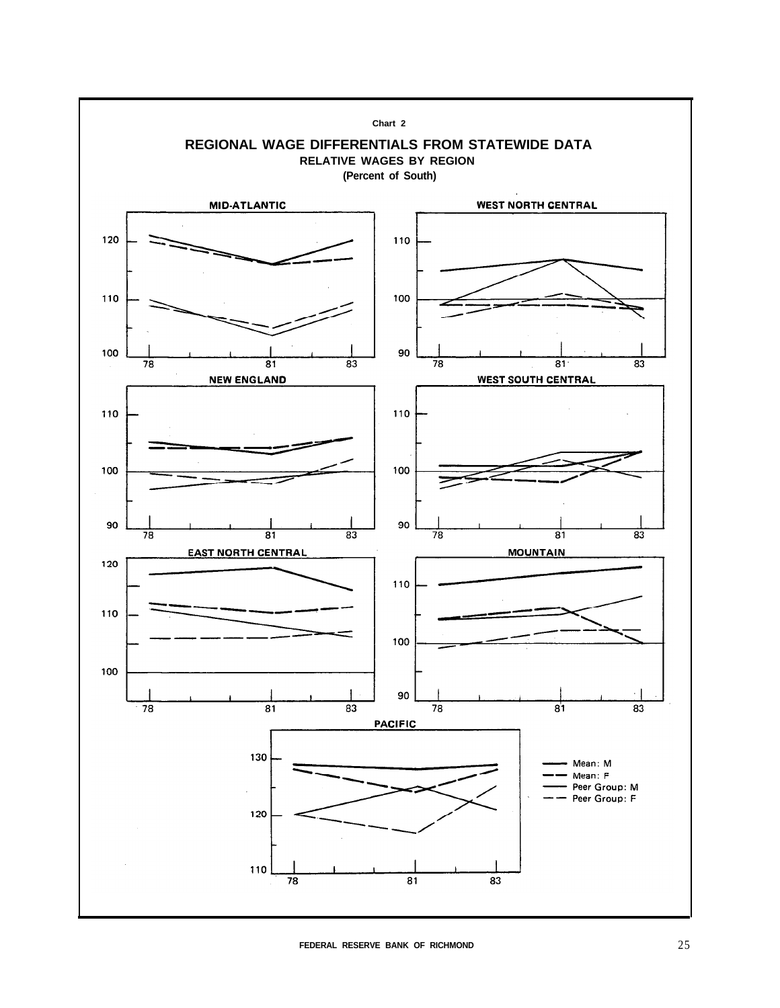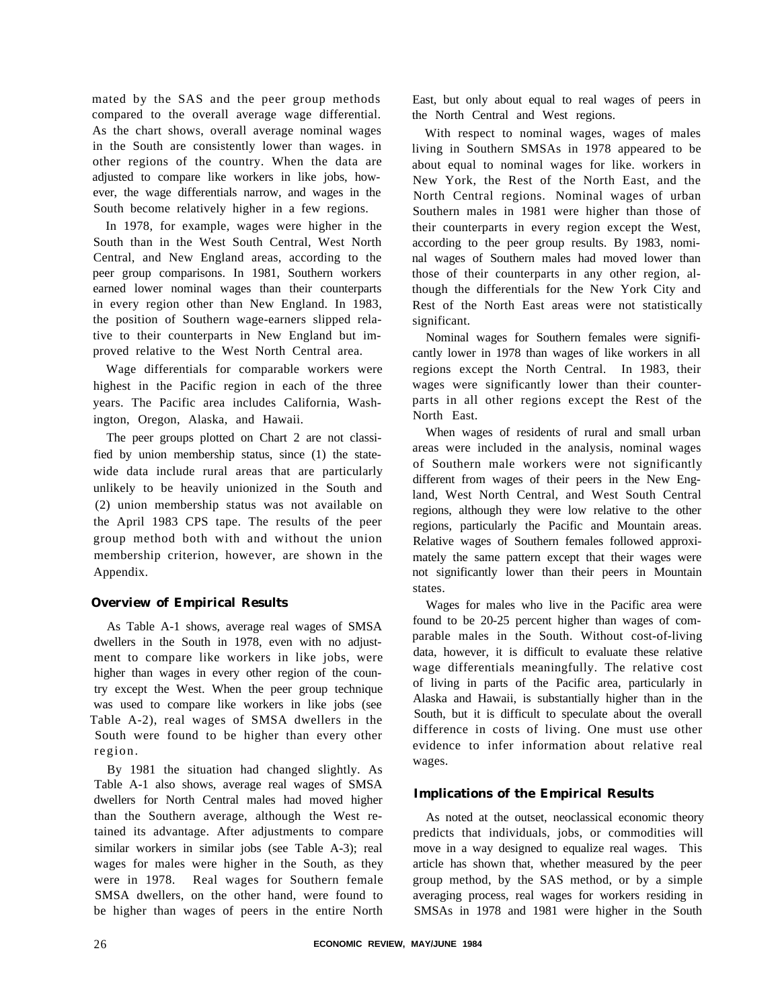mated by the SAS and the peer group methods compared to the overall average wage differential. As the chart shows, overall average nominal wages in the South are consistently lower than wages. in other regions of the country. When the data are adjusted to compare like workers in like jobs, however, the wage differentials narrow, and wages in the South become relatively higher in a few regions.

In 1978, for example, wages were higher in the South than in the West South Central, West North Central, and New England areas, according to the peer group comparisons. In 1981, Southern workers earned lower nominal wages than their counterparts in every region other than New England. In 1983, the position of Southern wage-earners slipped relative to their counterparts in New England but improved relative to the West North Central area.

Wage differentials for comparable workers were highest in the Pacific region in each of the three years. The Pacific area includes California, Washington, Oregon, Alaska, and Hawaii.

The peer groups plotted on Chart 2 are not classified by union membership status, since (1) the statewide data include rural areas that are particularly unlikely to be heavily unionized in the South and (2) union membership status was not available on the April 1983 CPS tape. The results of the peer group method both with and without the union membership criterion, however, are shown in the Appendix.

# **Overview of Empirical Results**

As Table A-1 shows, average real wages of SMSA dwellers in the South in 1978, even with no adjustment to compare like workers in like jobs, were higher than wages in every other region of the country except the West. When the peer group technique was used to compare like workers in like jobs (see Table A-2), real wages of SMSA dwellers in the South were found to be higher than every other region.

By 1981 the situation had changed slightly. As Table A-1 also shows, average real wages of SMSA dwellers for North Central males had moved higher than the Southern average, although the West retained its advantage. After adjustments to compare similar workers in similar jobs (see Table A-3); real wages for males were higher in the South, as they were in 1978. Real wages for Southern female SMSA dwellers, on the other hand, were found to be higher than wages of peers in the entire North

East, but only about equal to real wages of peers in the North Central and West regions.

With respect to nominal wages, wages of males living in Southern SMSAs in 1978 appeared to be about equal to nominal wages for like. workers in New York, the Rest of the North East, and the North Central regions. Nominal wages of urban Southern males in 1981 were higher than those of their counterparts in every region except the West, according to the peer group results. By 1983, nominal wages of Southern males had moved lower than those of their counterparts in any other region, although the differentials for the New York City and Rest of the North East areas were not statistically significant.

Nominal wages for Southern females were significantly lower in 1978 than wages of like workers in all regions except the North Central. In 1983, their wages were significantly lower than their counterparts in all other regions except the Rest of the North East.

When wages of residents of rural and small urban areas were included in the analysis, nominal wages of Southern male workers were not significantly different from wages of their peers in the New England, West North Central, and West South Central regions, although they were low relative to the other regions, particularly the Pacific and Mountain areas. Relative wages of Southern females followed approximately the same pattern except that their wages were not significantly lower than their peers in Mountain states.

Wages for males who live in the Pacific area were found to be 20-25 percent higher than wages of comparable males in the South. Without cost-of-living data, however, it is difficult to evaluate these relative wage differentials meaningfully. The relative cost of living in parts of the Pacific area, particularly in Alaska and Hawaii, is substantially higher than in the South, but it is difficult to speculate about the overall difference in costs of living. One must use other evidence to infer information about relative real wages.

# **Implications of the Empirical Results**

As noted at the outset, neoclassical economic theory predicts that individuals, jobs, or commodities will move in a way designed to equalize real wages. This article has shown that, whether measured by the peer group method, by the SAS method, or by a simple averaging process, real wages for workers residing in SMSAs in 1978 and 1981 were higher in the South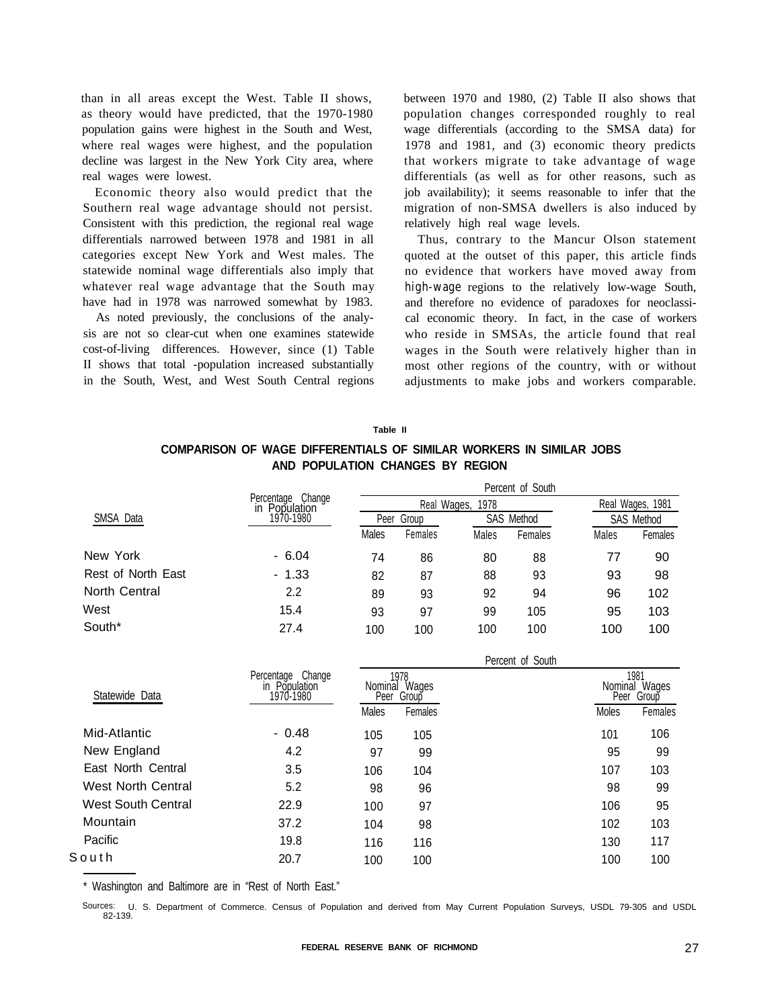than in all areas except the West. Table II shows, as theory would have predicted, that the 1970-1980 population gains were highest in the South and West, where real wages were highest, and the population decline was largest in the New York City area, where real wages were lowest.

Economic theory also would predict that the Southern real wage advantage should not persist. Consistent with this prediction, the regional real wage differentials narrowed between 1978 and 1981 in all categories except New York and West males. The statewide nominal wage differentials also imply that whatever real wage advantage that the South may have had in 1978 was narrowed somewhat by 1983.

As noted previously, the conclusions of the analysis are not so clear-cut when one examines statewide cost-of-living differences. However, since (1) Table II shows that total -population increased substantially in the South, West, and West South Central regions

between 1970 and 1980, (2) Table II also shows that population changes corresponded roughly to real wage differentials (according to the SMSA data) for 1978 and 1981, and (3) economic theory predicts that workers migrate to take advantage of wage differentials (as well as for other reasons, such as job availability); it seems reasonable to infer that the migration of non-SMSA dwellers is also induced by relatively high real wage levels.

Thus, contrary to the Mancur Olson statement quoted at the outset of this paper, this article finds no evidence that workers have moved away from *high-wage* regions to the relatively low-wage South, and therefore no evidence of paradoxes for neoclassical economic theory. In fact, in the case of workers who reside in SMSAs, the article found that real wages in the South were relatively higher than in most other regions of the country, with or without adjustments to make jobs and workers comparable.

#### **Table II**

# **COMPARISON OF WAGE DIFFERENTIALS OF SIMILAR WORKERS IN SIMILAR JOBS AND POPULATION CHANGES BY REGION**

|                    |                                       | Percent of South |             |            |                  |            |         |  |  |  |
|--------------------|---------------------------------------|------------------|-------------|------------|------------------|------------|---------|--|--|--|
|                    | Change<br>Percentage<br>in Population |                  | Real Wages, |            | Real Wages, 1981 |            |         |  |  |  |
| SMSA Data          | 1970-1980                             | Peer Group       |             | SAS Method |                  | SAS Method |         |  |  |  |
|                    |                                       | Males            | Females     | Males      | Females          | Males      | Females |  |  |  |
| New York           | $-6.04$                               | 74               | 86          | 80         | 88               | 77         | 90      |  |  |  |
| Rest of North East | $-1.33$                               | 82               | 87          | 88         | 93               | 93         | 98      |  |  |  |
| North Central      | 2.2                                   | 89               | 93          | 92         | 94               | 96         | 102     |  |  |  |
| West               | 15.4                                  | 93               | 97          | 99         | 105              | 95         | 103     |  |  |  |
| South*             | 27.4                                  | 100              | 100         | 100        | 100              | 100        | 100     |  |  |  |

|                    |                                                   | Percent of South |                                      |  |                                     |         |  |  |  |
|--------------------|---------------------------------------------------|------------------|--------------------------------------|--|-------------------------------------|---------|--|--|--|
| Statewide Data     | Percentage Change<br>Population<br>m<br>1970-1980 |                  | 1978.<br>Nominal Wages<br>Peer Group |  | 1981<br>Nominal Wages<br>Peer Group |         |  |  |  |
|                    |                                                   | Males            | Females                              |  | Moles                               | Females |  |  |  |
| Mid-Atlantic       | $-0.48$                                           | 105              | 105                                  |  | 101                                 | 106     |  |  |  |
| New England        | 4.2                                               | 97               | 99                                   |  | 95                                  | 99      |  |  |  |
| East North Central | 3.5                                               | 106              | 104                                  |  | 107                                 | 103     |  |  |  |
| West North Central | 5.2                                               | 98               | 96                                   |  | 98                                  | 99      |  |  |  |
| West South Central | 22.9                                              | 100              | 97                                   |  | 106                                 | 95      |  |  |  |
| Mountain           | 37.2                                              | 104              | 98                                   |  | 102                                 | 103     |  |  |  |
| Pacific            | 19.8                                              | 116              | 116                                  |  | 130                                 | 117     |  |  |  |
| South              | 20.7                                              | 100              | 100                                  |  | 100                                 | 100     |  |  |  |
|                    |                                                   |                  |                                      |  |                                     |         |  |  |  |

Washington and Baltimore are in "Rest of North East."

Sources: U. S. Department of Commerce. Census of Population and derived from May Current Population Surveys, USDL 79-305 and USDL 82-139.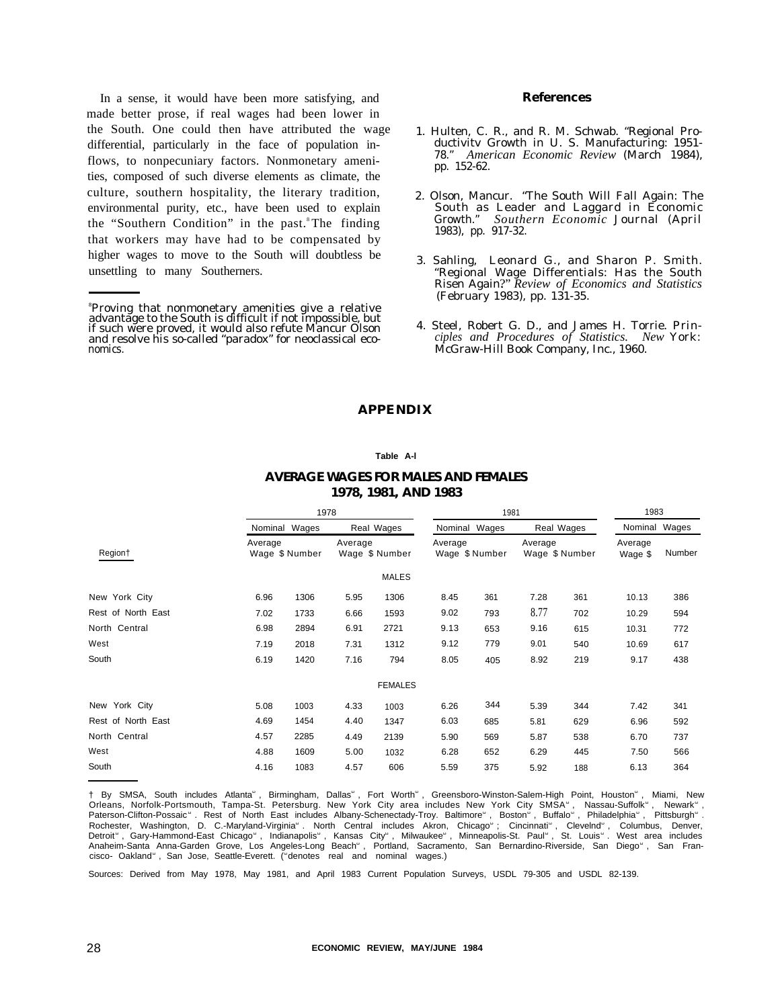In a sense, it would have been more satisfying, and made better prose, if real wages had been lower in the South. One could then have attributed the wage differential, particularly in the face of population inflows, to nonpecuniary factors. Nonmonetary amenities, composed of such diverse elements as climate, the culture, southern hospitality, the literary tradition, environmental purity, etc., have been used to explain the "Southern Condition" in the past.<sup>8</sup>The finding that workers may have had to be compensated by higher wages to move to the South will doubtless be unsettling to many Southerners.

#### **References**

- 1. Hulten, C. R., and R. M. Schwab. "Regional Productivitv Growth in U. S. Manufacturing: 1951- 78." *American Economic Review* (March 1984), pp. 152-62.
- 2. Olson, Mancur. "The South Will Fall Again: The South as Leader and Laggard in Economic Growth." *Southern Economic* Journal (April 1983), pp. 917-32.
- 3. Sahling, Leonard G., and Sharon P. Smith. "Regional Wage Differentials: Has the South Risen Again.?" *Review of Economics and Statistics* (February 1983), pp. 131-35.
- 4. Steel, Robert G. D., and James H. Torrie. *Principles and Procedures of Statistics. New* York: McGraw-Hill Book Company, Inc., 1960.

## **APPENDIX**

#### **Table A-l**

## **AVERAGE WAGES FOR MALES AND FEMALES 1978, 1981, AND 1983**

|                    |         | 1978           |         |                |               | 1981           |                           |            |                    | 1983   |  |
|--------------------|---------|----------------|---------|----------------|---------------|----------------|---------------------------|------------|--------------------|--------|--|
|                    |         | Nominal Wages  |         | Real Wages     | Nominal Wages |                |                           | Real Wages | Nominal Wages      |        |  |
| Region†            | Average | Wage \$ Number | Average | Wage \$ Number | Average       | Wage \$ Number | Average<br>Wage \$ Number |            | Average<br>Wage \$ | Number |  |
|                    |         |                |         | <b>MALES</b>   |               |                |                           |            |                    |        |  |
| New York City      | 6.96    | 1306           | 5.95    | 1306           | 8.45          | 361            | 7.28                      | 361        | 10.13              | 386    |  |
| Rest of North East | 7.02    | 1733           | 6.66    | 1593           | 9.02          | 793            | 8.77                      | 702        | 10.29              | 594    |  |
| North Central      | 6.98    | 2894           | 6.91    | 2721           | 9.13          | 653            | 9.16                      | 615        | 10.31              | 772    |  |
| West               | 7.19    | 2018           | 7.31    | 1312           | 9.12          | 779            | 9.01                      | 540        | 10.69              | 617    |  |
| South              | 6.19    | 1420           | 7.16    | 794            | 8.05          | 405            | 8.92                      | 219        | 9.17               | 438    |  |
|                    |         |                |         | <b>FEMALES</b> |               |                |                           |            |                    |        |  |
| New York City      | 5.08    | 1003           | 4.33    | 1003           | 6.26          | 344            | 5.39                      | 344        | 7.42               | 341    |  |
| Rest of North East | 4.69    | 1454           | 4.40    | 1347           | 6.03          | 685            | 5.81                      | 629        | 6.96               | 592    |  |
| North Central      | 4.57    | 2285           | 4.49    | 2139           | 5.90          | 569            | 5.87                      | 538        | 6.70               | 737    |  |
| West               | 4.88    | 1609           | 5.00    | 1032           | 6.28          | 652            | 6.29                      | 445        | 7.50               | 566    |  |
| South              | 4.16    | 1083           | 4.57    | 606            | 5.59          | 375            | 5.92                      | 188        | 6.13               | 364    |  |

† By SMSA, South includes Atlanta<sup>®</sup>, Birmingham, Dallas<sup>®</sup>, Fort Worth®, Greensboro-Winston-Salem-High Point, Houston<sup>®</sup> , Miami, New Orleans, Norfolk-Portsmouth, Tampa-St. Petersburg. New York City area includes New York City SMSA", Nassau-Suffolk", Newark",<br>Paterson-Clifton-Possaic". Rest of North East includes Albany-Schenectady-Troy. Baltimore", Bost Anaheim-Santa Anna-Garden Grove, Los Angeles-Long Beach<sup>®</sup>, Portland, Sacramento, San Bernardino-Riverside, San Diego<sup>®</sup>, San Fran-<br>cisco- Oakland®, San Jose, Seattle-Everett. (®denotes real and nominal wages.)

Sources: Derived from May 1978, May 1981, and April 1983 Current Population Surveys, USDL 79-305 and USDL 82-139.

<sup>8</sup>Proving that nonmonetary amenities give a relative advantage to the South is difficult if not impossible, but if such were proved, it would also refute Mancur Olson and resolve his so-called "paradox" for neoclassical economics.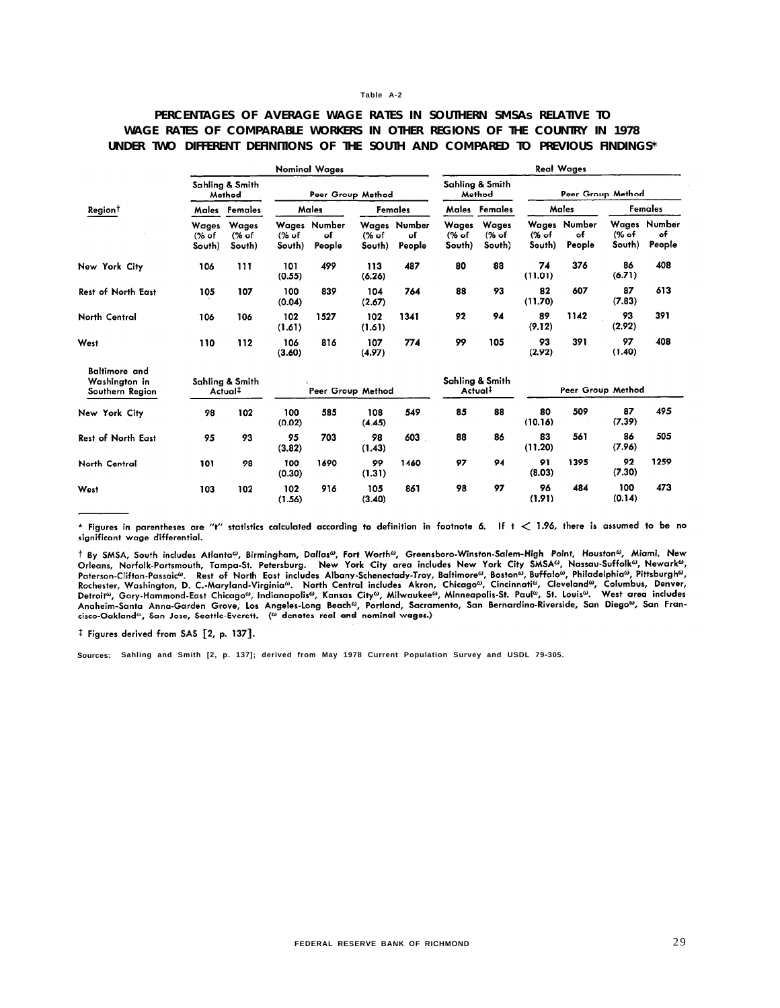## **PERCENTAGES OF AVERAGE WAGE RATES IN SOUTHERN SMSAs RELATIVE TO WAGE RATES OF COMPARABLE WORKERS IN OTHER REGIONS OF THE COUNTRY IN 1978 UNDER TWO DIFFERENT DEFINITIONS OF THE SOUTH AND COMPARED TO PREVIOUS FINDINGS\***

| <b>Nominal Wages</b>                                     |                           |                                        |                            |                              |                 | <b>Real Wages</b>            |                          |                                        |                 |                              |                 |                              |
|----------------------------------------------------------|---------------------------|----------------------------------------|----------------------------|------------------------------|-----------------|------------------------------|--------------------------|----------------------------------------|-----------------|------------------------------|-----------------|------------------------------|
|                                                          |                           | Sahling & Smith<br>Method              |                            | Peer Group Method            |                 |                              |                          | Sahlina & Smith<br>Method              |                 | Peer Group Method            |                 |                              |
| Region <sup>†</sup>                                      | Males                     | Females                                |                            | Males<br>Females             |                 |                              | Males                    | Females                                |                 | Males                        |                 | Females                      |
|                                                          | Wages<br>$%$ of<br>South) | Wages<br>(% of<br>South)               | $\frac{6}{6}$ of<br>South) | Wages Number<br>of<br>People | (% of<br>South) | Wages Number<br>of<br>People | Wages<br>(% of<br>South) | <b>Wages</b><br>(% of<br>South)        | (% of<br>South) | Wages Number<br>of<br>People | (% of<br>South) | Wages Number<br>of<br>People |
| New York City                                            | 106                       | 111                                    | 101<br>(0.55)              | 499                          | 113<br>(6.26)   | 487                          | 80                       | 88                                     | 74<br>(11.01)   | 376                          | 86<br>(6.71)    | 408                          |
| <b>Rest of North East</b>                                | 105                       | 107                                    | 100<br>(0.04)              | 839                          | 104<br>(2.67)   | 764                          | 88                       | 93                                     | 82<br>(11.70)   | 607                          | 87<br>(7.83)    | 613                          |
| North Central                                            | 106                       | 106                                    | 102<br>(1.61)              | 1527                         | 102<br>(1.61)   | 1341                         | 92                       | 94                                     | 89<br>(9.12)    | 1142                         | 93<br>(2.92)    | 391                          |
| West                                                     | 110                       | 112                                    | 106<br>(3.60)              | 816                          | 107<br>(4.97)   | 774                          | 99                       | 105                                    | 93<br>(2.92)    | 391                          | 97<br>(1.40)    | 408                          |
| <b>Baltimore</b> and<br>Washington in<br>Southern Region |                           | Sahling & Smith<br>Actual <sup>‡</sup> |                            | Peer Group Method            |                 |                              |                          | Sahling & Smith<br>Actual <sup>‡</sup> |                 | Peer Group Method            |                 |                              |
| New York City                                            | 98                        | 102                                    | 100<br>(0.02)              | 585                          | 108<br>(4.45)   | 549                          | 85                       | 88                                     | 80<br>(10.16)   | 509                          | 87<br>(7.39)    | 495                          |
| <b>Rest of North East</b>                                | 95                        | 93                                     | 95<br>(3.82)               | 703                          | 98<br>(1.43)    | 603                          | 88                       | 86                                     | 83<br>(11.20)   | 561                          | 86<br>(7.96)    | 505                          |
| North Central                                            | 101                       | 98                                     | 100<br>(0.30)              | 1690                         | 99<br>(1.31)    | 1460                         | 97                       | 94                                     | 91<br>(8.03)    | 1395                         | 92<br>(7.30)    | 1259                         |
| West                                                     | 103                       | 102                                    | 102<br>(1.56)              | 916                          | 105<br>(3.40)   | 861                          | 98                       | 97                                     | 96<br>(1.91)    | 484                          | 100<br>(0.14)   | 473                          |

\* Figures in parentheses are "t" statistics calculated according to definition in footnote 6. If t < 1.96, there is assumed to be no significant wage differential.

t By SMSA, South includes Atlanta<sup>ω</sup>, Birmingham, Dallas<sup>ω</sup>, Fort Worth<sup>ω</sup>, Greensboro-Winston-Salem-High Point, Houston<sup>ω</sup>, Miami, New 1 by SMSA, South Includes Atlanta-, birmingham, Datas-, Fort worth-<br>
Orleans, Norfolk-Portsmouth, Tampa-St. Petersburg. New York City area includes New York City SMSA®, Nassau-Suffolk®, Newark®,<br>
Orleans, Norfolk-Portsmout Demony Carlo Anna-Garden Grove, Los Angeles-Long Beach®, Portland, Sacramento, San Bernardino-Riverside, San Diego®, San Fran-<br>Anaheim-Santa Anna-Garden Grove, Los Angeles-Long Beach®, Portland, Sacramento, San Bernardino-

<sup>‡</sup> Figures derived from SAS [2, p. 137].

**Sources: Sahling and Smith [2, p. 137]; derived from May 1978 Current Population Survey and USDL 79-305.**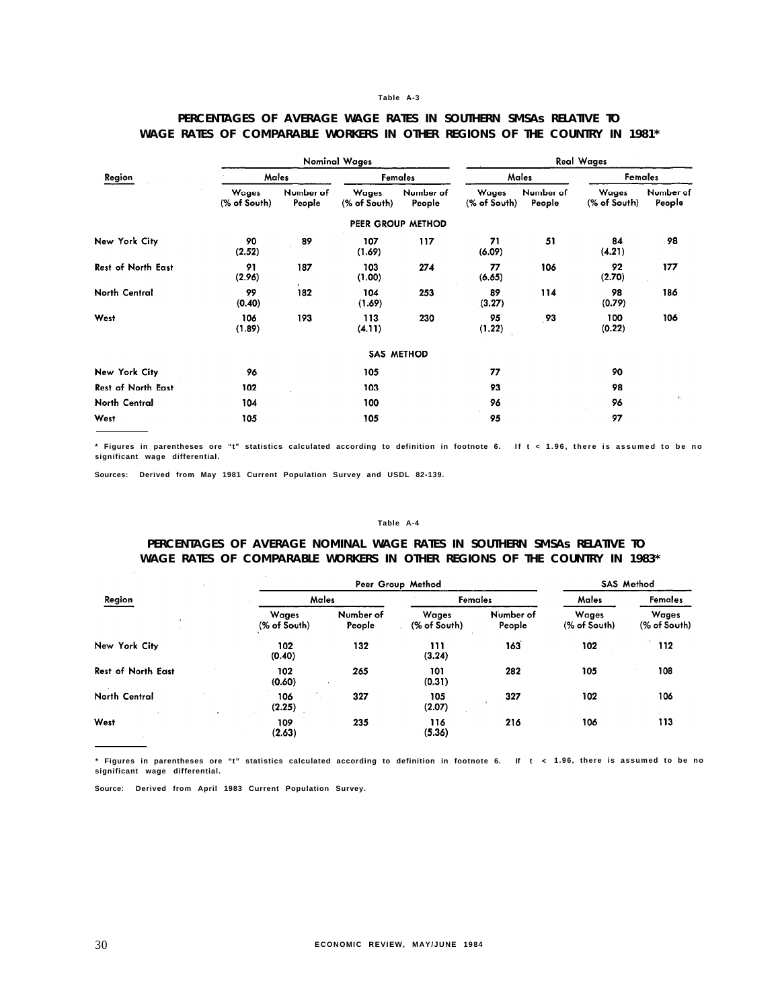|                           |                       |                     | <b>Nominal Wages</b>  | <b>Real Wages</b>   |                       |                     |                       |                     |
|---------------------------|-----------------------|---------------------|-----------------------|---------------------|-----------------------|---------------------|-----------------------|---------------------|
| Region                    | Males                 |                     | Females               |                     |                       | Males               | Females               |                     |
|                           | Wages<br>(% of South) | Number of<br>People | Wages<br>(% of South) | Number of<br>People | Wages<br>(% of South) | Number of<br>People | Wages<br>(% of South) | Number of<br>People |
|                           |                       |                     |                       | PEER GROUP METHOD   |                       |                     |                       |                     |
| New York City             | 90<br>(2.52)          | 89                  | 107<br>(1.69)         | 117                 | 71<br>(6.09)          | 51                  | 84<br>(4.21)          | 98                  |
| <b>Rest of North East</b> | 91<br>(2.96)          | 187                 | 103<br>(1.00)         | 274                 | 77<br>(6.65)          | 106                 | 92<br>(2.70)          | 177                 |
| North Central             | 99<br>(0.40)          | 182                 | 104<br>(1.69)         | 253                 | 89<br>(3.27)          | 114                 | 98<br>(0.79)          | 186                 |
| West                      | 106<br>(1.89)         | 193                 | 113<br>(4.11)         | 230                 | 95<br>(1.22)          | .93                 | 100<br>(0.22)         | 106                 |
|                           |                       |                     |                       | <b>SAS METHOD</b>   |                       |                     |                       |                     |
| New York City             | 96                    |                     | 105                   |                     | 77                    |                     | 90                    |                     |
| <b>Rest of North East</b> | 102                   |                     | 103                   |                     | 93                    |                     | 98                    |                     |
| North Central             | 104                   |                     | 100                   |                     | 96                    |                     | 96                    | $\epsilon_{\rm e}$  |
| West                      | 105                   |                     | 105                   |                     | 95                    |                     | 97                    |                     |

## **PERCENTAGES OF AVERAGE WAGE RATES IN SOUTHERN SMSAs RELATIVE TO WAGE RATES OF COMPARABLE WORKERS IN OTHER REGIONS OF THE COUNTRY IN 1981\***

**\* Figures in parentheses ore "t" statistics calculated according to definition in footnote 6. If t < 1.96, there is assumed to be no significant wage differential.**

**Sources: Derived from May 1981 Current Population Survey and USDL 82-139.**

#### **Table A-4**

## **PERCENTAGES OF AVERAGE NOMINAL WAGE RATES IN SOUTHERN SMSAs RELATIVE TO WAGE RATES OF COMPARABLE WORKERS IN OTHER REGIONS OF THE COUNTRY IN 1983\***

|                           |                              | Peer Group Method   |                       |                     |                       |                       |  |
|---------------------------|------------------------------|---------------------|-----------------------|---------------------|-----------------------|-----------------------|--|
| Region                    | Males                        |                     | Females               |                     | Males                 | Females               |  |
|                           | <b>Wages</b><br>(% of South) | Number of<br>People | Wages<br>(% of South) | Number of<br>People | Wages<br>(% of South) | Wages<br>(% of South) |  |
| New York City             | 102<br>(0.40)                | 132                 | 111<br>(3.24)         | 163                 | 102                   | 112                   |  |
| <b>Rest of North East</b> | 102<br>(0.60)                | 265                 | 101<br>(0.31)         | 282                 | 105                   | 108                   |  |
| North Central             | 106<br>(2.25)                | 327                 | 105<br>(2.07)         | 327                 | 102                   | 106                   |  |
| West                      | 109<br>(2.63)                | 235                 | 116<br>(5.36)         | 216                 | 106                   | 113                   |  |

**\* Figures in parentheses ore "t" statistics calculated according to definition in footnote 6. If t < 1.96, there is assumed to be no significant wage differential.**

**Source: Derived from April 1983 Current Population Survey.**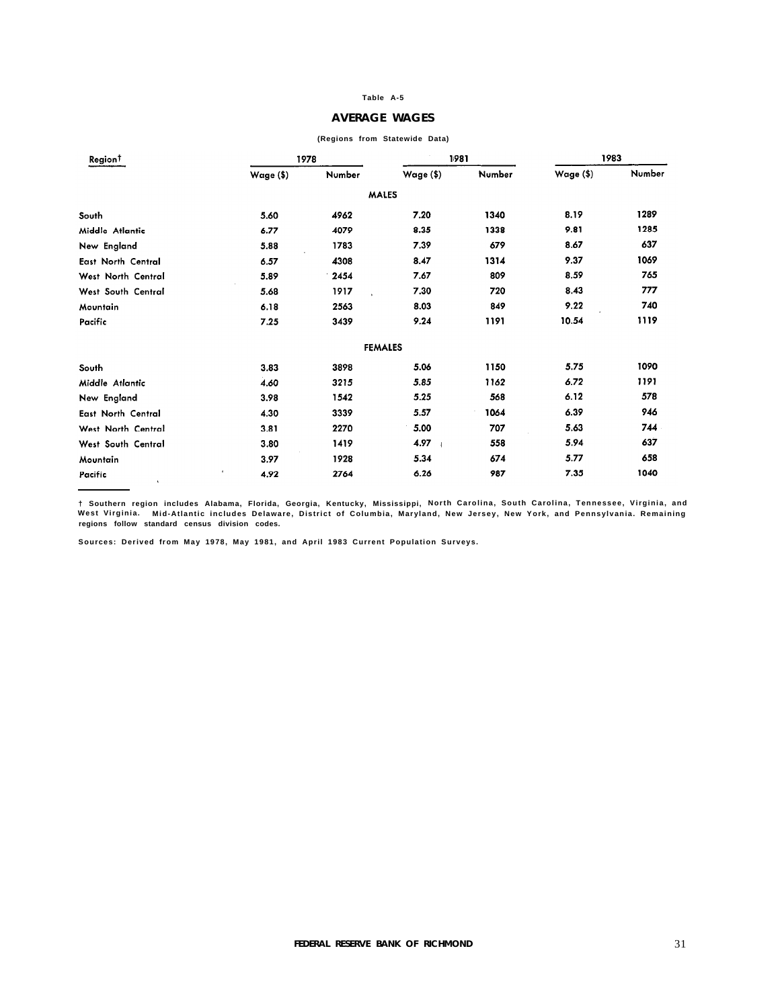#### **AVERAGE WAGES**

| Region <sup>†</sup> |                   | 1978   |                | 1981   | 1983      |        |
|---------------------|-------------------|--------|----------------|--------|-----------|--------|
|                     | Wage (\$)         | Number | Wage $(\$)$    | Number | Wage (\$) | Number |
|                     |                   |        | <b>MALES</b>   |        |           |        |
| South               | 5.60              | 4962   | 7.20           | 1340   | 8.19      | 1289   |
| Middle Atlantic     | 6.77              | 4079   | 8.35           | 1338   | 9.81      | 1285   |
| New England         | 5.88              | 1783   | 7.39           | 679    | 8.67      | 637    |
| East North Central  | 6.57              | 4308   | 8.47           | 1314   | 9.37      | 1069   |
| West North Central  | 5.89              | 2454   | 7.67           | 809    | 8.59      | 765    |
| West South Central  | 5.68              | 1917   | 7.30           | 720    | 8.43      | 777    |
| Mountain            | 6.18              | 2563   | 8.03           | 849    | 9.22      | 740    |
| Pacific             | 7.25              | 3439   | 9.24           | 1191   | 10.54     | 1119   |
|                     |                   |        | <b>FEMALES</b> |        |           |        |
| South               | 3.83              | 3898   | 5.06           | 1150   | 5.75      | 1090   |
| Middle Atlantic     | 4.60              | 3215   | 5.85           | 1162   | 6.72      | 1191   |
| New England         | 3.98              | 1542   | 5.25           | 568    | 6.12      | 578    |
| East North Central  | 4.30              | 3339   | 5.57           | 1064   | 6.39      | 946    |
| West North Central  | 3.81              | 2270   | 5.00           | 707    | 5.63      | 744    |
| West South Central  | 3.80              | 1419   | 4.97           | 558    | 5.94      | 637    |
| Mountain            | 3.97              | 1928   | 5.34           | 674    | 5.77      | 658    |
| Pacific             | $\bullet$<br>4.92 | 2764   | 6.26           | 987    | 7.35      | 1040   |

#### **(Regions from Statewide Data)**

**† Southern region includes Alabama, Florida, Georgia, Kentucky, Mississippi, North Carolina, South Carolina, Tennessee, Virginia, and West Virginia. Mid-Atlantic includes Delaware, District of Columbia, Maryland, New Jersey, New York, and Pennsylvania. Remaining regions follow standard census division codes.**

**Sources: Derived from May 1978, May 1981, and April 1983 Current Population Surveys.**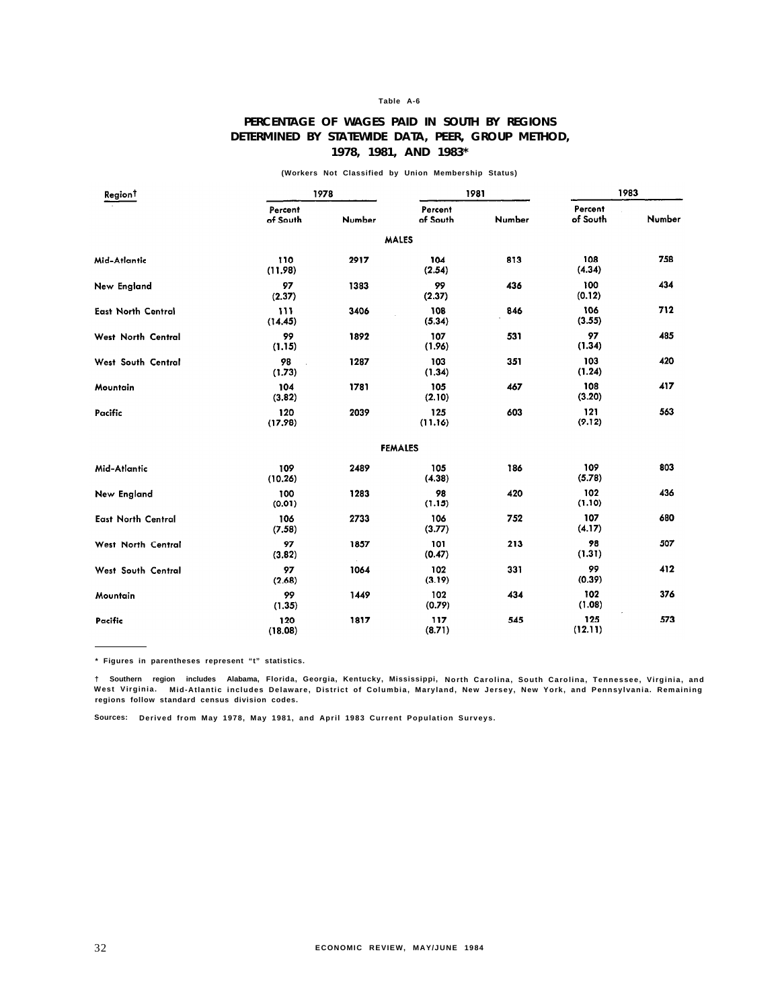# **PERCENTAGE OF WAGES PAID IN SOUTH BY REGIONS DETERMINED BY STATEWIDE DATA, PEER, GROUP METHOD, 1978, 1981, AND 1983\***

**(Workers Not Classified by Union Membership Status)**

| Region <sup>†</sup>       |                     | 1978           |                     | 1981   | 1983                |        |
|---------------------------|---------------------|----------------|---------------------|--------|---------------------|--------|
|                           | Percent<br>of South | Number         | Percent<br>of South | Number | Percent<br>of South | Number |
|                           |                     |                | <b>MALES</b>        |        |                     |        |
| Mid-Atlantic              | 110<br>(11.98)      | 2917           | 104<br>(2.54)       | 813    | 108<br>(4.34)       | 758    |
| New England               | 97<br>(2.37)        | 1383           | 99<br>(2.37)        | 436    | 100<br>(0.12)       | 434    |
| <b>East North Central</b> | 111<br>(14.45)      | 3406           | 108<br>(5.34)       | 846    | 106<br>(3.55)       | 712    |
| West North Central        | 99<br>(1.15)        | 1892           | 107<br>(1.96)       | 531    | 97<br>(1.34)        | 485    |
| West South Central        | 98<br>(1.73)        | 1287           | 103<br>(1.34)       | 351    | 103<br>(1.24)       | 420    |
| Mountain                  | 104<br>(3.82)       | 1781           | 105<br>(2.10)       | 467    | 108<br>(3.20)       | 417    |
| Pacific                   | 120<br>(17.98)      | 2039           | 125<br>(11.16)      | 603    | 121<br>(9.12)       | 563    |
|                           |                     |                | <b>FEMALES</b>      |        |                     |        |
| Mid-Atlantic              | 109<br>(10.26)      | 2489           | 105<br>(4.38)       | 186    | 109<br>(5.78)       | 803    |
| New England               | 100<br>(0.01)       | 1283           | 98<br>(1.15)        | 420    | 102<br>(1.10)       | 436    |
| <b>East North Central</b> | 106<br>(7.58)       | 2733           | 106<br>(3.77)       | 752    | 107<br>(4.17)       | 680    |
| West North Central        | 97<br>(3.82)        | 1857<br>$\sim$ | 101<br>(0.47)       | 213    | 98<br>(1.31)        | 507    |
| West South Central        | 97<br>(2.68)        | 1064           | 102<br>(3.19)       | 331    | 99<br>(0.39)        | 412    |
| Mountain                  | 99<br>(1.35)        | 1449           | 102<br>(0.79)       | 434    | 102<br>(1.08)       | 376    |
| Pacific                   | 120<br>(18.08)      | 1817           | 117<br>(8.71)       | 545    | 125<br>(12.11)      | 573    |

**\* Figures in parentheses represent "t" statistics.**

† Southern region includes Alabama, Florida, Georgia, Kentucky, Mississippi, North Carolina, South Carolina, Tennessee, Virginia, and<br>West Virginia. Mid-Atlantic includes Delaware, District of Columbia, Maryland, New Jerse **regions follow standard census division codes.**

**Sources: Derived from May 1978, May 1981, and April 1983 Current Population Surveys.**